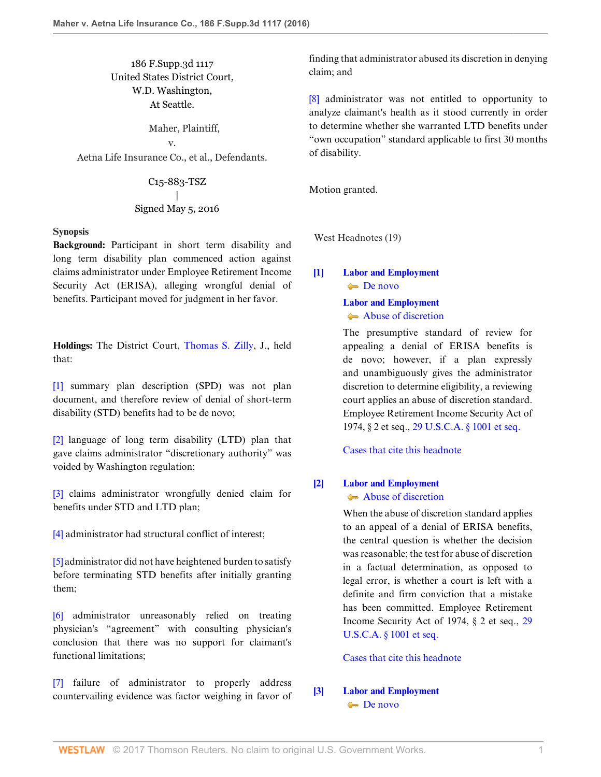186 F.Supp.3d 1117 United States District Court, W.D. Washington, At Seattle.

Maher, Plaintiff,

v. Aetna Life Insurance Co., et al., Defendants.

> C15-883-TSZ | Signed May 5, 2016

#### **Synopsis**

**Background:** Participant in short term disability and long term disability plan commenced action against claims administrator under Employee Retirement Income Security Act (ERISA), alleging wrongful denial of benefits. Participant moved for judgment in her favor.

**Holdings:** The District Court, [Thomas S. Zilly](http://www.westlaw.com/Link/Document/FullText?findType=h&pubNum=176284&cite=0258684601&originatingDoc=I8d04fb601f1f11e6accba36daa2dab8f&refType=RQ&originationContext=document&vr=3.0&rs=cblt1.0&transitionType=DocumentItem&contextData=(sc.UserEnteredCitation)), J., held that:

[\[1\]](#page-0-0) summary plan description (SPD) was not plan document, and therefore review of denial of short-term disability (STD) benefits had to be de novo;

[\[2\]](#page-1-0) language of long term disability (LTD) plan that gave claims administrator "discretionary authority" was voided by Washington regulation;

[\[3\]](#page-1-1) claims administrator wrongfully denied claim for benefits under STD and LTD plan;

[\[4\]](#page-1-2) administrator had structural conflict of interest;

[\[5\]](#page-2-0) administrator did not have heightened burden to satisfy before terminating STD benefits after initially granting them;

[\[6\]](#page-2-1) administrator unreasonably relied on treating physician's "agreement" with consulting physician's conclusion that there was no support for claimant's functional limitations;

[\[7\]](#page-3-0) failure of administrator to properly address countervailing evidence was factor weighing in favor of finding that administrator abused its discretion in denying claim; and

[\[8\]](#page-3-1) administrator was not entitled to opportunity to analyze claimant's health as it stood currently in order to determine whether she warranted LTD benefits under "own occupation" standard applicable to first 30 months of disability.

Motion granted.

West Headnotes (19)

# <span id="page-0-1"></span>**[\[1\]](#page-6-0) [Labor and Employment](http://www.westlaw.com/Browse/Home/KeyNumber/231H/View.html?docGuid=I8d04fb601f1f11e6accba36daa2dab8f&originationContext=document&vr=3.0&rs=cblt1.0&transitionType=DocumentItem&contextData=(sc.UserEnteredCitation))** [De novo](http://www.westlaw.com/Browse/Home/KeyNumber/231Hk686/View.html?docGuid=I8d04fb601f1f11e6accba36daa2dab8f&originationContext=document&vr=3.0&rs=cblt1.0&transitionType=DocumentItem&contextData=(sc.UserEnteredCitation))

# **[Labor and Employment](http://www.westlaw.com/Browse/Home/KeyNumber/231H/View.html?docGuid=I8d04fb601f1f11e6accba36daa2dab8f&originationContext=document&vr=3.0&rs=cblt1.0&transitionType=DocumentItem&contextData=(sc.UserEnteredCitation))**

[Abuse of discretion](http://www.westlaw.com/Browse/Home/KeyNumber/231Hk688/View.html?docGuid=I8d04fb601f1f11e6accba36daa2dab8f&originationContext=document&vr=3.0&rs=cblt1.0&transitionType=DocumentItem&contextData=(sc.UserEnteredCitation))

The presumptive standard of review for appealing a denial of ERISA benefits is de novo; however, if a plan expressly and unambiguously gives the administrator discretion to determine eligibility, a reviewing court applies an abuse of discretion standard. Employee Retirement Income Security Act of 1974, § 2 et seq., [29 U.S.C.A. § 1001 et seq.](http://www.westlaw.com/Link/Document/FullText?findType=L&pubNum=1000546&cite=29USCAS1001&originatingDoc=I8d04fb601f1f11e6accba36daa2dab8f&refType=LQ&originationContext=document&vr=3.0&rs=cblt1.0&transitionType=DocumentItem&contextData=(sc.UserEnteredCitation))

[Cases that cite this headnote](http://www.westlaw.com/Link/RelatedInformation/DocHeadnoteLink?docGuid=I8d04fb601f1f11e6accba36daa2dab8f&headnoteId=203888700600120170208055018&originationContext=document&vr=3.0&rs=cblt1.0&transitionType=CitingReferences&contextData=(sc.UserEnteredCitation))

# <span id="page-0-2"></span>**[\[2\]](#page-6-1) [Labor and Employment](http://www.westlaw.com/Browse/Home/KeyNumber/231H/View.html?docGuid=I8d04fb601f1f11e6accba36daa2dab8f&originationContext=document&vr=3.0&rs=cblt1.0&transitionType=DocumentItem&contextData=(sc.UserEnteredCitation))** [Abuse of discretion](http://www.westlaw.com/Browse/Home/KeyNumber/231Hk688/View.html?docGuid=I8d04fb601f1f11e6accba36daa2dab8f&originationContext=document&vr=3.0&rs=cblt1.0&transitionType=DocumentItem&contextData=(sc.UserEnteredCitation))

When the abuse of discretion standard applies to an appeal of a denial of ERISA benefits, the central question is whether the decision was reasonable; the test for abuse of discretion in a factual determination, as opposed to legal error, is whether a court is left with a definite and firm conviction that a mistake has been committed. Employee Retirement Income Security Act of 1974, § 2 et seq., [29](http://www.westlaw.com/Link/Document/FullText?findType=L&pubNum=1000546&cite=29USCAS1001&originatingDoc=I8d04fb601f1f11e6accba36daa2dab8f&refType=LQ&originationContext=document&vr=3.0&rs=cblt1.0&transitionType=DocumentItem&contextData=(sc.UserEnteredCitation)) [U.S.C.A. § 1001 et seq.](http://www.westlaw.com/Link/Document/FullText?findType=L&pubNum=1000546&cite=29USCAS1001&originatingDoc=I8d04fb601f1f11e6accba36daa2dab8f&refType=LQ&originationContext=document&vr=3.0&rs=cblt1.0&transitionType=DocumentItem&contextData=(sc.UserEnteredCitation))

[Cases that cite this headnote](http://www.westlaw.com/Link/RelatedInformation/DocHeadnoteLink?docGuid=I8d04fb601f1f11e6accba36daa2dab8f&headnoteId=203888700600220170208055018&originationContext=document&vr=3.0&rs=cblt1.0&transitionType=CitingReferences&contextData=(sc.UserEnteredCitation))

# <span id="page-0-0"></span>**[\[3\]](#page-6-2) [Labor and Employment](http://www.westlaw.com/Browse/Home/KeyNumber/231H/View.html?docGuid=I8d04fb601f1f11e6accba36daa2dab8f&originationContext=document&vr=3.0&rs=cblt1.0&transitionType=DocumentItem&contextData=(sc.UserEnteredCitation)) [De novo](http://www.westlaw.com/Browse/Home/KeyNumber/231Hk686/View.html?docGuid=I8d04fb601f1f11e6accba36daa2dab8f&originationContext=document&vr=3.0&rs=cblt1.0&transitionType=DocumentItem&contextData=(sc.UserEnteredCitation))**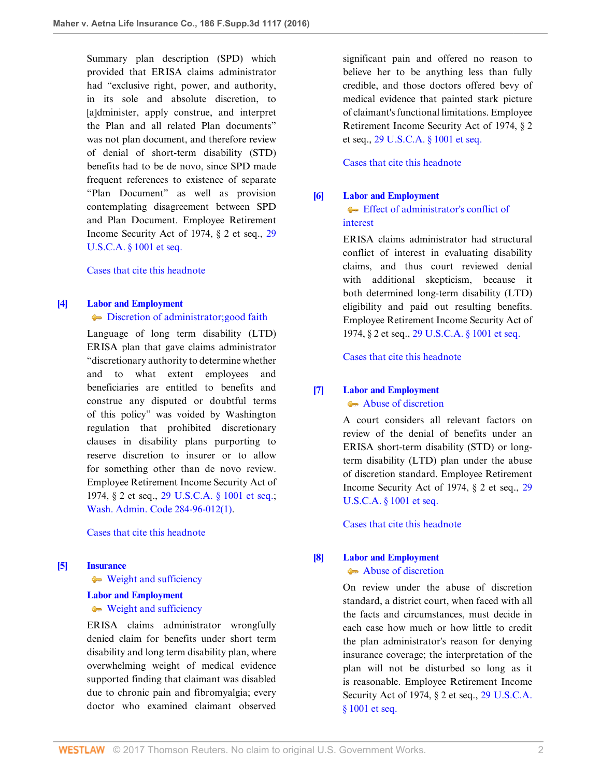Summary plan description (SPD) which provided that ERISA claims administrator had "exclusive right, power, and authority, in its sole and absolute discretion, to [a]dminister, apply construe, and interpret the Plan and all related Plan documents" was not plan document, and therefore review of denial of short-term disability (STD) benefits had to be de novo, since SPD made frequent references to existence of separate "Plan Document" as well as provision contemplating disagreement between SPD and Plan Document. Employee Retirement Income Security Act of 1974, § 2 et seq., [29](http://www.westlaw.com/Link/Document/FullText?findType=L&pubNum=1000546&cite=29USCAS1001&originatingDoc=I8d04fb601f1f11e6accba36daa2dab8f&refType=LQ&originationContext=document&vr=3.0&rs=cblt1.0&transitionType=DocumentItem&contextData=(sc.UserEnteredCitation)) [U.S.C.A. § 1001 et seq.](http://www.westlaw.com/Link/Document/FullText?findType=L&pubNum=1000546&cite=29USCAS1001&originatingDoc=I8d04fb601f1f11e6accba36daa2dab8f&refType=LQ&originationContext=document&vr=3.0&rs=cblt1.0&transitionType=DocumentItem&contextData=(sc.UserEnteredCitation))

[Cases that cite this headnote](http://www.westlaw.com/Link/RelatedInformation/DocHeadnoteLink?docGuid=I8d04fb601f1f11e6accba36daa2dab8f&headnoteId=203888700600320170208055018&originationContext=document&vr=3.0&rs=cblt1.0&transitionType=CitingReferences&contextData=(sc.UserEnteredCitation))

#### <span id="page-1-0"></span>**[\[4\]](#page-7-0) [Labor and Employment](http://www.westlaw.com/Browse/Home/KeyNumber/231H/View.html?docGuid=I8d04fb601f1f11e6accba36daa2dab8f&originationContext=document&vr=3.0&rs=cblt1.0&transitionType=DocumentItem&contextData=(sc.UserEnteredCitation))**

 $\blacktriangleright$  [Discretion of administrator; good faith](http://www.westlaw.com/Browse/Home/KeyNumber/231Hk611/View.html?docGuid=I8d04fb601f1f11e6accba36daa2dab8f&originationContext=document&vr=3.0&rs=cblt1.0&transitionType=DocumentItem&contextData=(sc.UserEnteredCitation))

Language of long term disability (LTD) ERISA plan that gave claims administrator "discretionary authority to determine whether and to what extent employees and beneficiaries are entitled to benefits and construe any disputed or doubtful terms of this policy" was voided by Washington regulation that prohibited discretionary clauses in disability plans purporting to reserve discretion to insurer or to allow for something other than de novo review. Employee Retirement Income Security Act of 1974, § 2 et seq., [29 U.S.C.A. § 1001 et seq.;](http://www.westlaw.com/Link/Document/FullText?findType=L&pubNum=1000546&cite=29USCAS1001&originatingDoc=I8d04fb601f1f11e6accba36daa2dab8f&refType=LQ&originationContext=document&vr=3.0&rs=cblt1.0&transitionType=DocumentItem&contextData=(sc.UserEnteredCitation)) [Wash. Admin. Code 284-96-012\(1\)](http://www.westlaw.com/Link/Document/FullText?findType=L&pubNum=1003807&cite=WAADC284-96-012&originatingDoc=I8d04fb601f1f11e6accba36daa2dab8f&refType=LQ&originationContext=document&vr=3.0&rs=cblt1.0&transitionType=DocumentItem&contextData=(sc.UserEnteredCitation)).

[Cases that cite this headnote](http://www.westlaw.com/Link/RelatedInformation/DocHeadnoteLink?docGuid=I8d04fb601f1f11e6accba36daa2dab8f&headnoteId=203888700600420170208055018&originationContext=document&vr=3.0&rs=cblt1.0&transitionType=CitingReferences&contextData=(sc.UserEnteredCitation))

# <span id="page-1-1"></span>**[\[5\]](#page-7-1) [Insurance](http://www.westlaw.com/Browse/Home/KeyNumber/217/View.html?docGuid=I8d04fb601f1f11e6accba36daa2dab8f&originationContext=document&vr=3.0&rs=cblt1.0&transitionType=DocumentItem&contextData=(sc.UserEnteredCitation))**

[Weight and sufficiency](http://www.westlaw.com/Browse/Home/KeyNumber/217k2578/View.html?docGuid=I8d04fb601f1f11e6accba36daa2dab8f&originationContext=document&vr=3.0&rs=cblt1.0&transitionType=DocumentItem&contextData=(sc.UserEnteredCitation))

#### **[Labor and Employment](http://www.westlaw.com/Browse/Home/KeyNumber/231H/View.html?docGuid=I8d04fb601f1f11e6accba36daa2dab8f&originationContext=document&vr=3.0&rs=cblt1.0&transitionType=DocumentItem&contextData=(sc.UserEnteredCitation))**

# [Weight and sufficiency](http://www.westlaw.com/Browse/Home/KeyNumber/231Hk629(2)/View.html?docGuid=I8d04fb601f1f11e6accba36daa2dab8f&originationContext=document&vr=3.0&rs=cblt1.0&transitionType=DocumentItem&contextData=(sc.UserEnteredCitation))

ERISA claims administrator wrongfully denied claim for benefits under short term disability and long term disability plan, where overwhelming weight of medical evidence supported finding that claimant was disabled due to chronic pain and fibromyalgia; every doctor who examined claimant observed

significant pain and offered no reason to believe her to be anything less than fully credible, and those doctors offered bevy of medical evidence that painted stark picture of claimant's functional limitations. Employee Retirement Income Security Act of 1974, § 2 et seq., [29 U.S.C.A. § 1001 et seq.](http://www.westlaw.com/Link/Document/FullText?findType=L&pubNum=1000546&cite=29USCAS1001&originatingDoc=I8d04fb601f1f11e6accba36daa2dab8f&refType=LQ&originationContext=document&vr=3.0&rs=cblt1.0&transitionType=DocumentItem&contextData=(sc.UserEnteredCitation))

[Cases that cite this headnote](http://www.westlaw.com/Link/RelatedInformation/DocHeadnoteLink?docGuid=I8d04fb601f1f11e6accba36daa2dab8f&headnoteId=203888700600520170208055018&originationContext=document&vr=3.0&rs=cblt1.0&transitionType=CitingReferences&contextData=(sc.UserEnteredCitation))

#### <span id="page-1-2"></span>**[\[6\]](#page-7-2) [Labor and Employment](http://www.westlaw.com/Browse/Home/KeyNumber/231H/View.html?docGuid=I8d04fb601f1f11e6accba36daa2dab8f&originationContext=document&vr=3.0&rs=cblt1.0&transitionType=DocumentItem&contextData=(sc.UserEnteredCitation))**

[Effect of administrator's conflict of](http://www.westlaw.com/Browse/Home/KeyNumber/231Hk690/View.html?docGuid=I8d04fb601f1f11e6accba36daa2dab8f&originationContext=document&vr=3.0&rs=cblt1.0&transitionType=DocumentItem&contextData=(sc.UserEnteredCitation)) [interest](http://www.westlaw.com/Browse/Home/KeyNumber/231Hk690/View.html?docGuid=I8d04fb601f1f11e6accba36daa2dab8f&originationContext=document&vr=3.0&rs=cblt1.0&transitionType=DocumentItem&contextData=(sc.UserEnteredCitation))

ERISA claims administrator had structural conflict of interest in evaluating disability claims, and thus court reviewed denial with additional skepticism, because it both determined long-term disability (LTD) eligibility and paid out resulting benefits. Employee Retirement Income Security Act of 1974, § 2 et seq., [29 U.S.C.A. § 1001 et seq.](http://www.westlaw.com/Link/Document/FullText?findType=L&pubNum=1000546&cite=29USCAS1001&originatingDoc=I8d04fb601f1f11e6accba36daa2dab8f&refType=LQ&originationContext=document&vr=3.0&rs=cblt1.0&transitionType=DocumentItem&contextData=(sc.UserEnteredCitation))

[Cases that cite this headnote](http://www.westlaw.com/Link/RelatedInformation/DocHeadnoteLink?docGuid=I8d04fb601f1f11e6accba36daa2dab8f&headnoteId=203888700600620170208055018&originationContext=document&vr=3.0&rs=cblt1.0&transitionType=CitingReferences&contextData=(sc.UserEnteredCitation))

# <span id="page-1-3"></span>**[\[7\]](#page-7-3) [Labor and Employment](http://www.westlaw.com/Browse/Home/KeyNumber/231H/View.html?docGuid=I8d04fb601f1f11e6accba36daa2dab8f&originationContext=document&vr=3.0&rs=cblt1.0&transitionType=DocumentItem&contextData=(sc.UserEnteredCitation))**

[Abuse of discretion](http://www.westlaw.com/Browse/Home/KeyNumber/231Hk688/View.html?docGuid=I8d04fb601f1f11e6accba36daa2dab8f&originationContext=document&vr=3.0&rs=cblt1.0&transitionType=DocumentItem&contextData=(sc.UserEnteredCitation))

A court considers all relevant factors on review of the denial of benefits under an ERISA short-term disability (STD) or longterm disability (LTD) plan under the abuse of discretion standard. Employee Retirement Income Security Act of 1974, § 2 et seq., [29](http://www.westlaw.com/Link/Document/FullText?findType=L&pubNum=1000546&cite=29USCAS1001&originatingDoc=I8d04fb601f1f11e6accba36daa2dab8f&refType=LQ&originationContext=document&vr=3.0&rs=cblt1.0&transitionType=DocumentItem&contextData=(sc.UserEnteredCitation)) [U.S.C.A. § 1001 et seq.](http://www.westlaw.com/Link/Document/FullText?findType=L&pubNum=1000546&cite=29USCAS1001&originatingDoc=I8d04fb601f1f11e6accba36daa2dab8f&refType=LQ&originationContext=document&vr=3.0&rs=cblt1.0&transitionType=DocumentItem&contextData=(sc.UserEnteredCitation))

[Cases that cite this headnote](http://www.westlaw.com/Link/RelatedInformation/DocHeadnoteLink?docGuid=I8d04fb601f1f11e6accba36daa2dab8f&headnoteId=203888700600720170208055018&originationContext=document&vr=3.0&rs=cblt1.0&transitionType=CitingReferences&contextData=(sc.UserEnteredCitation))

#### <span id="page-1-4"></span>**[\[8\]](#page-7-4) [Labor and Employment](http://www.westlaw.com/Browse/Home/KeyNumber/231H/View.html?docGuid=I8d04fb601f1f11e6accba36daa2dab8f&originationContext=document&vr=3.0&rs=cblt1.0&transitionType=DocumentItem&contextData=(sc.UserEnteredCitation))**

[Abuse of discretion](http://www.westlaw.com/Browse/Home/KeyNumber/231Hk688/View.html?docGuid=I8d04fb601f1f11e6accba36daa2dab8f&originationContext=document&vr=3.0&rs=cblt1.0&transitionType=DocumentItem&contextData=(sc.UserEnteredCitation))

On review under the abuse of discretion standard, a district court, when faced with all the facts and circumstances, must decide in each case how much or how little to credit the plan administrator's reason for denying insurance coverage; the interpretation of the plan will not be disturbed so long as it is reasonable. Employee Retirement Income Security Act of 1974, § 2 et seq., [29 U.S.C.A.](http://www.westlaw.com/Link/Document/FullText?findType=L&pubNum=1000546&cite=29USCAS1001&originatingDoc=I8d04fb601f1f11e6accba36daa2dab8f&refType=LQ&originationContext=document&vr=3.0&rs=cblt1.0&transitionType=DocumentItem&contextData=(sc.UserEnteredCitation)) [§ 1001 et seq.](http://www.westlaw.com/Link/Document/FullText?findType=L&pubNum=1000546&cite=29USCAS1001&originatingDoc=I8d04fb601f1f11e6accba36daa2dab8f&refType=LQ&originationContext=document&vr=3.0&rs=cblt1.0&transitionType=DocumentItem&contextData=(sc.UserEnteredCitation))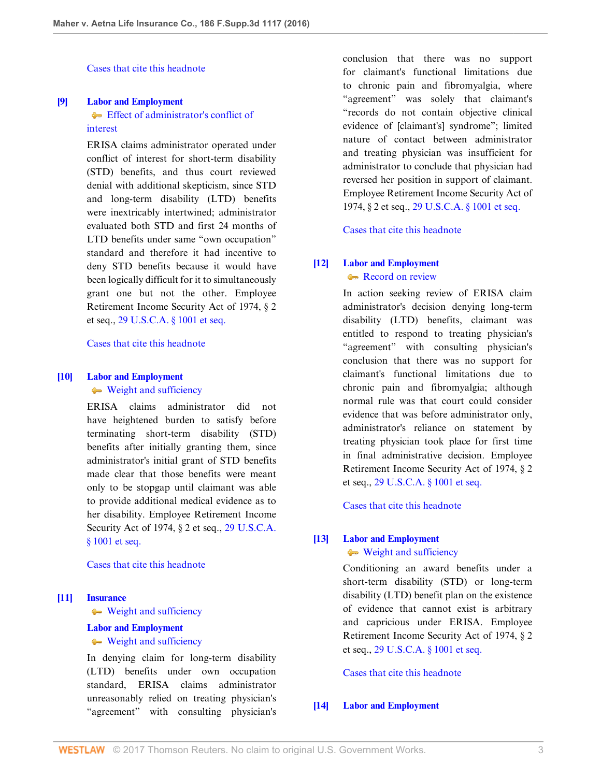[Cases that cite this headnote](http://www.westlaw.com/Link/RelatedInformation/DocHeadnoteLink?docGuid=I8d04fb601f1f11e6accba36daa2dab8f&headnoteId=203888700600820170208055018&originationContext=document&vr=3.0&rs=cblt1.0&transitionType=CitingReferences&contextData=(sc.UserEnteredCitation))

# <span id="page-2-2"></span>**[\[9\]](#page-8-0) [Labor and Employment](http://www.westlaw.com/Browse/Home/KeyNumber/231H/View.html?docGuid=I8d04fb601f1f11e6accba36daa2dab8f&originationContext=document&vr=3.0&rs=cblt1.0&transitionType=DocumentItem&contextData=(sc.UserEnteredCitation))**

# **[Effect of administrator's conflict of](http://www.westlaw.com/Browse/Home/KeyNumber/231Hk690/View.html?docGuid=I8d04fb601f1f11e6accba36daa2dab8f&originationContext=document&vr=3.0&rs=cblt1.0&transitionType=DocumentItem&contextData=(sc.UserEnteredCitation))** [interest](http://www.westlaw.com/Browse/Home/KeyNumber/231Hk690/View.html?docGuid=I8d04fb601f1f11e6accba36daa2dab8f&originationContext=document&vr=3.0&rs=cblt1.0&transitionType=DocumentItem&contextData=(sc.UserEnteredCitation))

ERISA claims administrator operated under conflict of interest for short-term disability (STD) benefits, and thus court reviewed denial with additional skepticism, since STD and long-term disability (LTD) benefits were inextricably intertwined; administrator evaluated both STD and first 24 months of LTD benefits under same "own occupation" standard and therefore it had incentive to deny STD benefits because it would have been logically difficult for it to simultaneously grant one but not the other. Employee Retirement Income Security Act of 1974, § 2 et seq., [29 U.S.C.A. § 1001 et seq.](http://www.westlaw.com/Link/Document/FullText?findType=L&pubNum=1000546&cite=29USCAS1001&originatingDoc=I8d04fb601f1f11e6accba36daa2dab8f&refType=LQ&originationContext=document&vr=3.0&rs=cblt1.0&transitionType=DocumentItem&contextData=(sc.UserEnteredCitation))

# [Cases that cite this headnote](http://www.westlaw.com/Link/RelatedInformation/DocHeadnoteLink?docGuid=I8d04fb601f1f11e6accba36daa2dab8f&headnoteId=203888700600920170208055018&originationContext=document&vr=3.0&rs=cblt1.0&transitionType=CitingReferences&contextData=(sc.UserEnteredCitation))

# <span id="page-2-0"></span>**[\[10\]](#page-8-1) [Labor and Employment](http://www.westlaw.com/Browse/Home/KeyNumber/231H/View.html?docGuid=I8d04fb601f1f11e6accba36daa2dab8f&originationContext=document&vr=3.0&rs=cblt1.0&transitionType=DocumentItem&contextData=(sc.UserEnteredCitation))**

[Weight and sufficiency](http://www.westlaw.com/Browse/Home/KeyNumber/231Hk629(2)/View.html?docGuid=I8d04fb601f1f11e6accba36daa2dab8f&originationContext=document&vr=3.0&rs=cblt1.0&transitionType=DocumentItem&contextData=(sc.UserEnteredCitation))

ERISA claims administrator did not have heightened burden to satisfy before terminating short-term disability (STD) benefits after initially granting them, since administrator's initial grant of STD benefits made clear that those benefits were meant only to be stopgap until claimant was able to provide additional medical evidence as to her disability. Employee Retirement Income Security Act of 1974, § 2 et seq., [29 U.S.C.A.](http://www.westlaw.com/Link/Document/FullText?findType=L&pubNum=1000546&cite=29USCAS1001&originatingDoc=I8d04fb601f1f11e6accba36daa2dab8f&refType=LQ&originationContext=document&vr=3.0&rs=cblt1.0&transitionType=DocumentItem&contextData=(sc.UserEnteredCitation)) [§ 1001 et seq.](http://www.westlaw.com/Link/Document/FullText?findType=L&pubNum=1000546&cite=29USCAS1001&originatingDoc=I8d04fb601f1f11e6accba36daa2dab8f&refType=LQ&originationContext=document&vr=3.0&rs=cblt1.0&transitionType=DocumentItem&contextData=(sc.UserEnteredCitation))

#### [Cases that cite this headnote](http://www.westlaw.com/Link/RelatedInformation/DocHeadnoteLink?docGuid=I8d04fb601f1f11e6accba36daa2dab8f&headnoteId=203888700601020170208055018&originationContext=document&vr=3.0&rs=cblt1.0&transitionType=CitingReferences&contextData=(sc.UserEnteredCitation))

#### <span id="page-2-1"></span>**[\[11\]](#page-9-0) [Insurance](http://www.westlaw.com/Browse/Home/KeyNumber/217/View.html?docGuid=I8d04fb601f1f11e6accba36daa2dab8f&originationContext=document&vr=3.0&rs=cblt1.0&transitionType=DocumentItem&contextData=(sc.UserEnteredCitation))**

[Weight and sufficiency](http://www.westlaw.com/Browse/Home/KeyNumber/217k2578/View.html?docGuid=I8d04fb601f1f11e6accba36daa2dab8f&originationContext=document&vr=3.0&rs=cblt1.0&transitionType=DocumentItem&contextData=(sc.UserEnteredCitation))

#### **[Labor and Employment](http://www.westlaw.com/Browse/Home/KeyNumber/231H/View.html?docGuid=I8d04fb601f1f11e6accba36daa2dab8f&originationContext=document&vr=3.0&rs=cblt1.0&transitionType=DocumentItem&contextData=(sc.UserEnteredCitation))**

#### [Weight and sufficiency](http://www.westlaw.com/Browse/Home/KeyNumber/231Hk629(2)/View.html?docGuid=I8d04fb601f1f11e6accba36daa2dab8f&originationContext=document&vr=3.0&rs=cblt1.0&transitionType=DocumentItem&contextData=(sc.UserEnteredCitation))

In denying claim for long-term disability (LTD) benefits under own occupation standard, ERISA claims administrator unreasonably relied on treating physician's "agreement" with consulting physician's conclusion that there was no support for claimant's functional limitations due to chronic pain and fibromyalgia, where "agreement" was solely that claimant's "records do not contain objective clinical evidence of [claimant's] syndrome"; limited nature of contact between administrator and treating physician was insufficient for administrator to conclude that physician had reversed her position in support of claimant. Employee Retirement Income Security Act of 1974, § 2 et seq., [29 U.S.C.A. § 1001 et seq.](http://www.westlaw.com/Link/Document/FullText?findType=L&pubNum=1000546&cite=29USCAS1001&originatingDoc=I8d04fb601f1f11e6accba36daa2dab8f&refType=LQ&originationContext=document&vr=3.0&rs=cblt1.0&transitionType=DocumentItem&contextData=(sc.UserEnteredCitation))

[Cases that cite this headnote](http://www.westlaw.com/Link/RelatedInformation/DocHeadnoteLink?docGuid=I8d04fb601f1f11e6accba36daa2dab8f&headnoteId=203888700601120170208055018&originationContext=document&vr=3.0&rs=cblt1.0&transitionType=CitingReferences&contextData=(sc.UserEnteredCitation))

# <span id="page-2-3"></span>**[\[12\]](#page-9-1) [Labor and Employment](http://www.westlaw.com/Browse/Home/KeyNumber/231H/View.html?docGuid=I8d04fb601f1f11e6accba36daa2dab8f&originationContext=document&vr=3.0&rs=cblt1.0&transitionType=DocumentItem&contextData=(sc.UserEnteredCitation))** [Record on review](http://www.westlaw.com/Browse/Home/KeyNumber/231Hk691/View.html?docGuid=I8d04fb601f1f11e6accba36daa2dab8f&originationContext=document&vr=3.0&rs=cblt1.0&transitionType=DocumentItem&contextData=(sc.UserEnteredCitation))

In action seeking review of ERISA claim administrator's decision denying long-term disability (LTD) benefits, claimant was entitled to respond to treating physician's "agreement" with consulting physician's conclusion that there was no support for claimant's functional limitations due to chronic pain and fibromyalgia; although normal rule was that court could consider evidence that was before administrator only, administrator's reliance on statement by treating physician took place for first time in final administrative decision. Employee Retirement Income Security Act of 1974, § 2 et seq., [29 U.S.C.A. § 1001 et seq.](http://www.westlaw.com/Link/Document/FullText?findType=L&pubNum=1000546&cite=29USCAS1001&originatingDoc=I8d04fb601f1f11e6accba36daa2dab8f&refType=LQ&originationContext=document&vr=3.0&rs=cblt1.0&transitionType=DocumentItem&contextData=(sc.UserEnteredCitation))

[Cases that cite this headnote](http://www.westlaw.com/Link/RelatedInformation/DocHeadnoteLink?docGuid=I8d04fb601f1f11e6accba36daa2dab8f&headnoteId=203888700601220170208055018&originationContext=document&vr=3.0&rs=cblt1.0&transitionType=CitingReferences&contextData=(sc.UserEnteredCitation))

#### <span id="page-2-4"></span>**[\[13\]](#page-9-2) [Labor and Employment](http://www.westlaw.com/Browse/Home/KeyNumber/231H/View.html?docGuid=I8d04fb601f1f11e6accba36daa2dab8f&originationContext=document&vr=3.0&rs=cblt1.0&transitionType=DocumentItem&contextData=(sc.UserEnteredCitation))**

# [Weight and sufficiency](http://www.westlaw.com/Browse/Home/KeyNumber/231Hk629(2)/View.html?docGuid=I8d04fb601f1f11e6accba36daa2dab8f&originationContext=document&vr=3.0&rs=cblt1.0&transitionType=DocumentItem&contextData=(sc.UserEnteredCitation))

Conditioning an award benefits under a short-term disability (STD) or long-term disability (LTD) benefit plan on the existence of evidence that cannot exist is arbitrary and capricious under ERISA. Employee Retirement Income Security Act of 1974, § 2 et seq., [29 U.S.C.A. § 1001 et seq.](http://www.westlaw.com/Link/Document/FullText?findType=L&pubNum=1000546&cite=29USCAS1001&originatingDoc=I8d04fb601f1f11e6accba36daa2dab8f&refType=LQ&originationContext=document&vr=3.0&rs=cblt1.0&transitionType=DocumentItem&contextData=(sc.UserEnteredCitation))

[Cases that cite this headnote](http://www.westlaw.com/Link/RelatedInformation/DocHeadnoteLink?docGuid=I8d04fb601f1f11e6accba36daa2dab8f&headnoteId=203888700601420170208055018&originationContext=document&vr=3.0&rs=cblt1.0&transitionType=CitingReferences&contextData=(sc.UserEnteredCitation))

# <span id="page-2-5"></span>**[\[14\]](#page-9-3) [Labor and Employment](http://www.westlaw.com/Browse/Home/KeyNumber/231H/View.html?docGuid=I8d04fb601f1f11e6accba36daa2dab8f&originationContext=document&vr=3.0&rs=cblt1.0&transitionType=DocumentItem&contextData=(sc.UserEnteredCitation))**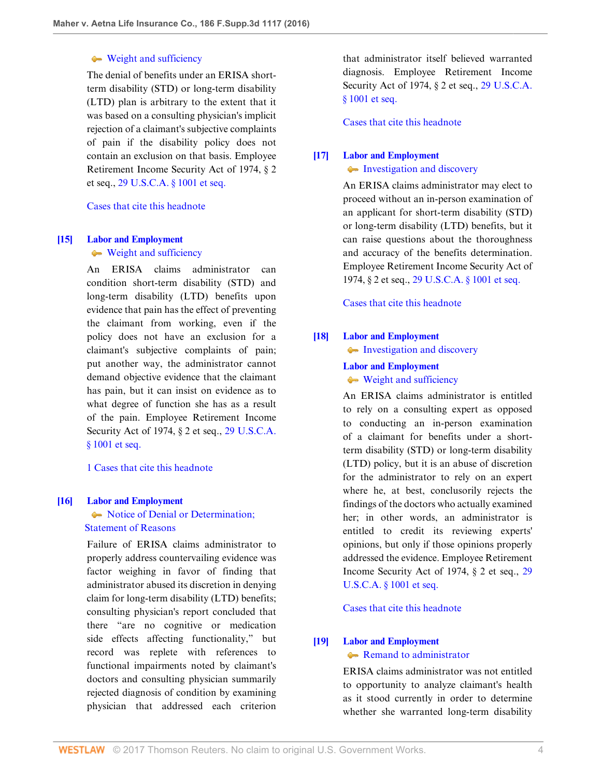# [Weight and sufficiency](http://www.westlaw.com/Browse/Home/KeyNumber/231Hk629(2)/View.html?docGuid=I8d04fb601f1f11e6accba36daa2dab8f&originationContext=document&vr=3.0&rs=cblt1.0&transitionType=DocumentItem&contextData=(sc.UserEnteredCitation))

The denial of benefits under an ERISA shortterm disability (STD) or long-term disability (LTD) plan is arbitrary to the extent that it was based on a consulting physician's implicit rejection of a claimant's subjective complaints of pain if the disability policy does not contain an exclusion on that basis. Employee Retirement Income Security Act of 1974, § 2 et seq., [29 U.S.C.A. § 1001 et seq.](http://www.westlaw.com/Link/Document/FullText?findType=L&pubNum=1000546&cite=29USCAS1001&originatingDoc=I8d04fb601f1f11e6accba36daa2dab8f&refType=LQ&originationContext=document&vr=3.0&rs=cblt1.0&transitionType=DocumentItem&contextData=(sc.UserEnteredCitation))

[Cases that cite this headnote](http://www.westlaw.com/Link/RelatedInformation/DocHeadnoteLink?docGuid=I8d04fb601f1f11e6accba36daa2dab8f&headnoteId=203888700601520170208055018&originationContext=document&vr=3.0&rs=cblt1.0&transitionType=CitingReferences&contextData=(sc.UserEnteredCitation))

#### <span id="page-3-2"></span>**[\[15\]](#page-10-0) [Labor and Employment](http://www.westlaw.com/Browse/Home/KeyNumber/231H/View.html?docGuid=I8d04fb601f1f11e6accba36daa2dab8f&originationContext=document&vr=3.0&rs=cblt1.0&transitionType=DocumentItem&contextData=(sc.UserEnteredCitation))**

[Weight and sufficiency](http://www.westlaw.com/Browse/Home/KeyNumber/231Hk629(2)/View.html?docGuid=I8d04fb601f1f11e6accba36daa2dab8f&originationContext=document&vr=3.0&rs=cblt1.0&transitionType=DocumentItem&contextData=(sc.UserEnteredCitation))

An ERISA claims administrator can condition short-term disability (STD) and long-term disability (LTD) benefits upon evidence that pain has the effect of preventing the claimant from working, even if the policy does not have an exclusion for a claimant's subjective complaints of pain; put another way, the administrator cannot demand objective evidence that the claimant has pain, but it can insist on evidence as to what degree of function she has as a result of the pain. Employee Retirement Income Security Act of 1974, § 2 et seq., [29 U.S.C.A.](http://www.westlaw.com/Link/Document/FullText?findType=L&pubNum=1000546&cite=29USCAS1001&originatingDoc=I8d04fb601f1f11e6accba36daa2dab8f&refType=LQ&originationContext=document&vr=3.0&rs=cblt1.0&transitionType=DocumentItem&contextData=(sc.UserEnteredCitation)) [§ 1001 et seq.](http://www.westlaw.com/Link/Document/FullText?findType=L&pubNum=1000546&cite=29USCAS1001&originatingDoc=I8d04fb601f1f11e6accba36daa2dab8f&refType=LQ&originationContext=document&vr=3.0&rs=cblt1.0&transitionType=DocumentItem&contextData=(sc.UserEnteredCitation))

[1 Cases that cite this headnote](http://www.westlaw.com/Link/RelatedInformation/DocHeadnoteLink?docGuid=I8d04fb601f1f11e6accba36daa2dab8f&headnoteId=203888700601620170208055018&originationContext=document&vr=3.0&rs=cblt1.0&transitionType=CitingReferences&contextData=(sc.UserEnteredCitation))

# <span id="page-3-0"></span>**[\[16\]](#page-10-1) [Labor and Employment](http://www.westlaw.com/Browse/Home/KeyNumber/231H/View.html?docGuid=I8d04fb601f1f11e6accba36daa2dab8f&originationContext=document&vr=3.0&rs=cblt1.0&transitionType=DocumentItem&contextData=(sc.UserEnteredCitation))**

Notice of Denial or Determination;  [Statement of Reasons](http://www.westlaw.com/Browse/Home/KeyNumber/231Hk617/View.html?docGuid=I8d04fb601f1f11e6accba36daa2dab8f&originationContext=document&vr=3.0&rs=cblt1.0&transitionType=DocumentItem&contextData=(sc.UserEnteredCitation))

Failure of ERISA claims administrator to properly address countervailing evidence was factor weighing in favor of finding that administrator abused its discretion in denying claim for long-term disability (LTD) benefits; consulting physician's report concluded that there "are no cognitive or medication side effects affecting functionality," but record was replete with references to functional impairments noted by claimant's doctors and consulting physician summarily rejected diagnosis of condition by examining physician that addressed each criterion

that administrator itself believed warranted diagnosis. Employee Retirement Income Security Act of 1974, § 2 et seq., [29 U.S.C.A.](http://www.westlaw.com/Link/Document/FullText?findType=L&pubNum=1000546&cite=29USCAS1001&originatingDoc=I8d04fb601f1f11e6accba36daa2dab8f&refType=LQ&originationContext=document&vr=3.0&rs=cblt1.0&transitionType=DocumentItem&contextData=(sc.UserEnteredCitation)) [§ 1001 et seq.](http://www.westlaw.com/Link/Document/FullText?findType=L&pubNum=1000546&cite=29USCAS1001&originatingDoc=I8d04fb601f1f11e6accba36daa2dab8f&refType=LQ&originationContext=document&vr=3.0&rs=cblt1.0&transitionType=DocumentItem&contextData=(sc.UserEnteredCitation))

[Cases that cite this headnote](http://www.westlaw.com/Link/RelatedInformation/DocHeadnoteLink?docGuid=I8d04fb601f1f11e6accba36daa2dab8f&headnoteId=203888700601720170208055018&originationContext=document&vr=3.0&rs=cblt1.0&transitionType=CitingReferences&contextData=(sc.UserEnteredCitation))

# <span id="page-3-3"></span>**[\[17\]](#page-10-2) [Labor and Employment](http://www.westlaw.com/Browse/Home/KeyNumber/231H/View.html?docGuid=I8d04fb601f1f11e6accba36daa2dab8f&originationContext=document&vr=3.0&rs=cblt1.0&transitionType=DocumentItem&contextData=(sc.UserEnteredCitation))**

• [Investigation and discovery](http://www.westlaw.com/Browse/Home/KeyNumber/231Hk616/View.html?docGuid=I8d04fb601f1f11e6accba36daa2dab8f&originationContext=document&vr=3.0&rs=cblt1.0&transitionType=DocumentItem&contextData=(sc.UserEnteredCitation))

An ERISA claims administrator may elect to proceed without an in-person examination of an applicant for short-term disability (STD) or long-term disability (LTD) benefits, but it can raise questions about the thoroughness and accuracy of the benefits determination. Employee Retirement Income Security Act of 1974, § 2 et seq., [29 U.S.C.A. § 1001 et seq.](http://www.westlaw.com/Link/Document/FullText?findType=L&pubNum=1000546&cite=29USCAS1001&originatingDoc=I8d04fb601f1f11e6accba36daa2dab8f&refType=LQ&originationContext=document&vr=3.0&rs=cblt1.0&transitionType=DocumentItem&contextData=(sc.UserEnteredCitation))

[Cases that cite this headnote](http://www.westlaw.com/Link/RelatedInformation/DocHeadnoteLink?docGuid=I8d04fb601f1f11e6accba36daa2dab8f&headnoteId=203888700601920170208055018&originationContext=document&vr=3.0&rs=cblt1.0&transitionType=CitingReferences&contextData=(sc.UserEnteredCitation))

# <span id="page-3-4"></span>**[\[18\]](#page-10-3) [Labor and Employment](http://www.westlaw.com/Browse/Home/KeyNumber/231H/View.html?docGuid=I8d04fb601f1f11e6accba36daa2dab8f&originationContext=document&vr=3.0&rs=cblt1.0&transitionType=DocumentItem&contextData=(sc.UserEnteredCitation))**

[Investigation and discovery](http://www.westlaw.com/Browse/Home/KeyNumber/231Hk616/View.html?docGuid=I8d04fb601f1f11e6accba36daa2dab8f&originationContext=document&vr=3.0&rs=cblt1.0&transitionType=DocumentItem&contextData=(sc.UserEnteredCitation))

# **[Labor and Employment](http://www.westlaw.com/Browse/Home/KeyNumber/231H/View.html?docGuid=I8d04fb601f1f11e6accba36daa2dab8f&originationContext=document&vr=3.0&rs=cblt1.0&transitionType=DocumentItem&contextData=(sc.UserEnteredCitation))**

[Weight and sufficiency](http://www.westlaw.com/Browse/Home/KeyNumber/231Hk629(2)/View.html?docGuid=I8d04fb601f1f11e6accba36daa2dab8f&originationContext=document&vr=3.0&rs=cblt1.0&transitionType=DocumentItem&contextData=(sc.UserEnteredCitation))

An ERISA claims administrator is entitled to rely on a consulting expert as opposed to conducting an in-person examination of a claimant for benefits under a shortterm disability (STD) or long-term disability (LTD) policy, but it is an abuse of discretion for the administrator to rely on an expert where he, at best, conclusorily rejects the findings of the doctors who actually examined her; in other words, an administrator is entitled to credit its reviewing experts' opinions, but only if those opinions properly addressed the evidence. Employee Retirement Income Security Act of 1974, § 2 et seq., [29](http://www.westlaw.com/Link/Document/FullText?findType=L&pubNum=1000546&cite=29USCAS1001&originatingDoc=I8d04fb601f1f11e6accba36daa2dab8f&refType=LQ&originationContext=document&vr=3.0&rs=cblt1.0&transitionType=DocumentItem&contextData=(sc.UserEnteredCitation)) [U.S.C.A. § 1001 et seq.](http://www.westlaw.com/Link/Document/FullText?findType=L&pubNum=1000546&cite=29USCAS1001&originatingDoc=I8d04fb601f1f11e6accba36daa2dab8f&refType=LQ&originationContext=document&vr=3.0&rs=cblt1.0&transitionType=DocumentItem&contextData=(sc.UserEnteredCitation))

[Cases that cite this headnote](http://www.westlaw.com/Link/RelatedInformation/DocHeadnoteLink?docGuid=I8d04fb601f1f11e6accba36daa2dab8f&headnoteId=203888700601820170208055018&originationContext=document&vr=3.0&rs=cblt1.0&transitionType=CitingReferences&contextData=(sc.UserEnteredCitation))

# <span id="page-3-1"></span>**[\[19\]](#page-10-4) [Labor and Employment](http://www.westlaw.com/Browse/Home/KeyNumber/231H/View.html?docGuid=I8d04fb601f1f11e6accba36daa2dab8f&originationContext=document&vr=3.0&rs=cblt1.0&transitionType=DocumentItem&contextData=(sc.UserEnteredCitation)) [Remand to administrator](http://www.westlaw.com/Browse/Home/KeyNumber/231Hk704/View.html?docGuid=I8d04fb601f1f11e6accba36daa2dab8f&originationContext=document&vr=3.0&rs=cblt1.0&transitionType=DocumentItem&contextData=(sc.UserEnteredCitation))**

ERISA claims administrator was not entitled to opportunity to analyze claimant's health as it stood currently in order to determine whether she warranted long-term disability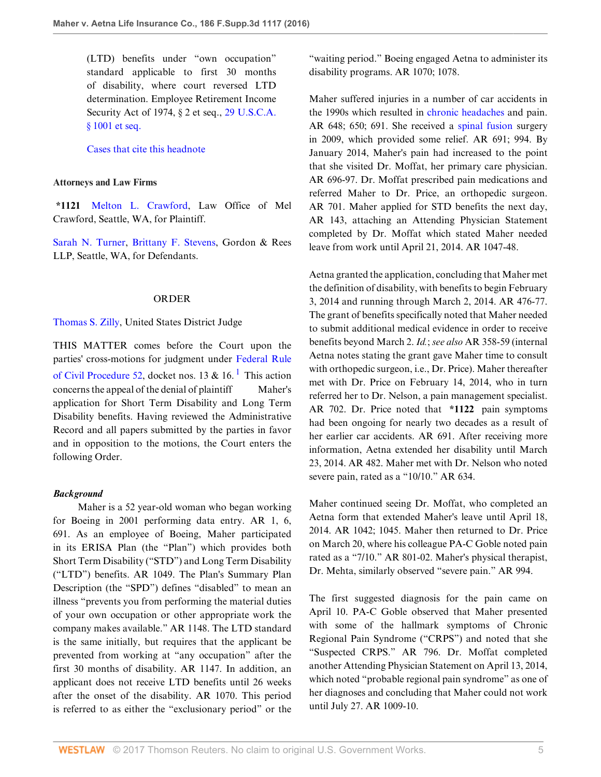(LTD) benefits under "own occupation" standard applicable to first 30 months of disability, where court reversed LTD determination. Employee Retirement Income Security Act of 1974, § 2 et seq., [29 U.S.C.A.](http://www.westlaw.com/Link/Document/FullText?findType=L&pubNum=1000546&cite=29USCAS1001&originatingDoc=I8d04fb601f1f11e6accba36daa2dab8f&refType=LQ&originationContext=document&vr=3.0&rs=cblt1.0&transitionType=DocumentItem&contextData=(sc.UserEnteredCitation)) [§ 1001 et seq.](http://www.westlaw.com/Link/Document/FullText?findType=L&pubNum=1000546&cite=29USCAS1001&originatingDoc=I8d04fb601f1f11e6accba36daa2dab8f&refType=LQ&originationContext=document&vr=3.0&rs=cblt1.0&transitionType=DocumentItem&contextData=(sc.UserEnteredCitation))

[Cases that cite this headnote](http://www.westlaw.com/Link/RelatedInformation/DocHeadnoteLink?docGuid=I8d04fb601f1f11e6accba36daa2dab8f&headnoteId=203888700601320170208055018&originationContext=document&vr=3.0&rs=cblt1.0&transitionType=CitingReferences&contextData=(sc.UserEnteredCitation))

#### **Attorneys and Law Firms**

**\*1121** [Melton L. Crawford](http://www.westlaw.com/Link/Document/FullText?findType=h&pubNum=176284&cite=0168090501&originatingDoc=I8d04fb601f1f11e6accba36daa2dab8f&refType=RQ&originationContext=document&vr=3.0&rs=cblt1.0&transitionType=DocumentItem&contextData=(sc.UserEnteredCitation)), Law Office of Mel Crawford, Seattle, WA, for Plaintiff.

[Sarah N. Turner,](http://www.westlaw.com/Link/Document/FullText?findType=h&pubNum=176284&cite=0375466001&originatingDoc=I8d04fb601f1f11e6accba36daa2dab8f&refType=RQ&originationContext=document&vr=3.0&rs=cblt1.0&transitionType=DocumentItem&contextData=(sc.UserEnteredCitation)) [Brittany F. Stevens,](http://www.westlaw.com/Link/Document/FullText?findType=h&pubNum=176284&cite=0430151901&originatingDoc=I8d04fb601f1f11e6accba36daa2dab8f&refType=RQ&originationContext=document&vr=3.0&rs=cblt1.0&transitionType=DocumentItem&contextData=(sc.UserEnteredCitation)) Gordon & Rees LLP, Seattle, WA, for Defendants.

#### <span id="page-4-0"></span>ORDER

[Thomas S. Zilly,](http://www.westlaw.com/Link/Document/FullText?findType=h&pubNum=176284&cite=0258684601&originatingDoc=I8d04fb601f1f11e6accba36daa2dab8f&refType=RQ&originationContext=document&vr=3.0&rs=cblt1.0&transitionType=DocumentItem&contextData=(sc.UserEnteredCitation)) United States District Judge

THIS MATTER comes before the Court upon the parties' cross-motions for judgment under [Federal Rule](http://www.westlaw.com/Link/Document/FullText?findType=L&pubNum=1000600&cite=USFRCPR52&originatingDoc=I8d04fb601f1f11e6accba36daa2dab8f&refType=LQ&originationContext=document&vr=3.0&rs=cblt1.0&transitionType=DocumentItem&contextData=(sc.UserEnteredCitation)) [of Civil Procedure 52](http://www.westlaw.com/Link/Document/FullText?findType=L&pubNum=1000600&cite=USFRCPR52&originatingDoc=I8d04fb601f1f11e6accba36daa2dab8f&refType=LQ&originationContext=document&vr=3.0&rs=cblt1.0&transitionType=DocumentItem&contextData=(sc.UserEnteredCitation)), docket nos. [1](#page-11-0)3 & 16.<sup>1</sup> This action concerns the appeal of the denial of plaintiff Maher's application for Short Term Disability and Long Term Disability benefits. Having reviewed the Administrative Record and all papers submitted by the parties in favor and in opposition to the motions, the Court enters the following Order.

#### *Background*

 Maher is a 52 year-old woman who began working for Boeing in 2001 performing data entry. AR 1, 6, 691. As an employee of Boeing, Maher participated in its ERISA Plan (the "Plan") which provides both Short Term Disability ("STD") and Long Term Disability ("LTD") benefits. AR 1049. The Plan's Summary Plan Description (the "SPD") defines "disabled" to mean an illness "prevents you from performing the material duties of your own occupation or other appropriate work the company makes available." AR 1148. The LTD standard is the same initially, but requires that the applicant be prevented from working at "any occupation" after the first 30 months of disability. AR 1147. In addition, an applicant does not receive LTD benefits until 26 weeks after the onset of the disability. AR 1070. This period is referred to as either the "exclusionary period" or the

"waiting period." Boeing engaged Aetna to administer its disability programs. AR 1070; 1078.

Maher suffered injuries in a number of car accidents in the 1990s which resulted in [chronic headaches](http://www.westlaw.com/Link/Document/FullText?entityType=disease&entityId=Ic686f5c3475411db9765f9243f53508a&originationContext=document&transitionType=DocumentItem&contextData=(sc.Default)&vr=3.0&rs=cblt1.0) and pain. AR 648; 650; 691. She received a [spinal fusion](http://www.westlaw.com/Link/Document/FullText?entityType=mproc&entityId=Ic304acbe475411db9765f9243f53508a&originationContext=document&transitionType=DocumentItem&contextData=(sc.Default)&vr=3.0&rs=cblt1.0) surgery in 2009, which provided some relief. AR 691; 994. By January 2014, Maher's pain had increased to the point that she visited Dr. Moffat, her primary care physician. AR 696-97. Dr. Moffat prescribed pain medications and referred Maher to Dr. Price, an orthopedic surgeon. AR 701. Maher applied for STD benefits the next day, AR 143, attaching an Attending Physician Statement completed by Dr. Moffat which stated Maher needed leave from work until April 21, 2014. AR 1047-48.

Aetna granted the application, concluding that Maher met the definition of disability, with benefits to begin February 3, 2014 and running through March 2, 2014. AR 476-77. The grant of benefits specifically noted that Maher needed to submit additional medical evidence in order to receive benefits beyond March 2. *Id.*; *see also* AR 358-59 (internal Aetna notes stating the grant gave Maher time to consult with orthopedic surgeon, i.e., Dr. Price). Maher thereafter met with Dr. Price on February 14, 2014, who in turn referred her to Dr. Nelson, a pain management specialist. AR 702. Dr. Price noted that **\*1122** pain symptoms had been ongoing for nearly two decades as a result of her earlier car accidents. AR 691. After receiving more information, Aetna extended her disability until March 23, 2014. AR 482. Maher met with Dr. Nelson who noted severe pain, rated as a "10/10." AR 634.

Maher continued seeing Dr. Moffat, who completed an Aetna form that extended Maher's leave until April 18, 2014. AR 1042; 1045. Maher then returned to Dr. Price on March 20, where his colleague PA-C Goble noted pain rated as a "7/10." AR 801-02. Maher's physical therapist, Dr. Mehta, similarly observed "severe pain." AR 994.

The first suggested diagnosis for the pain came on April 10. PA-C Goble observed that Maher presented with some of the hallmark symptoms of Chronic Regional Pain Syndrome ("CRPS") and noted that she "Suspected CRPS." AR 796. Dr. Moffat completed another Attending Physician Statement on April 13, 2014, which noted "probable regional pain syndrome" as one of her diagnoses and concluding that Maher could not work until July 27. AR 1009-10.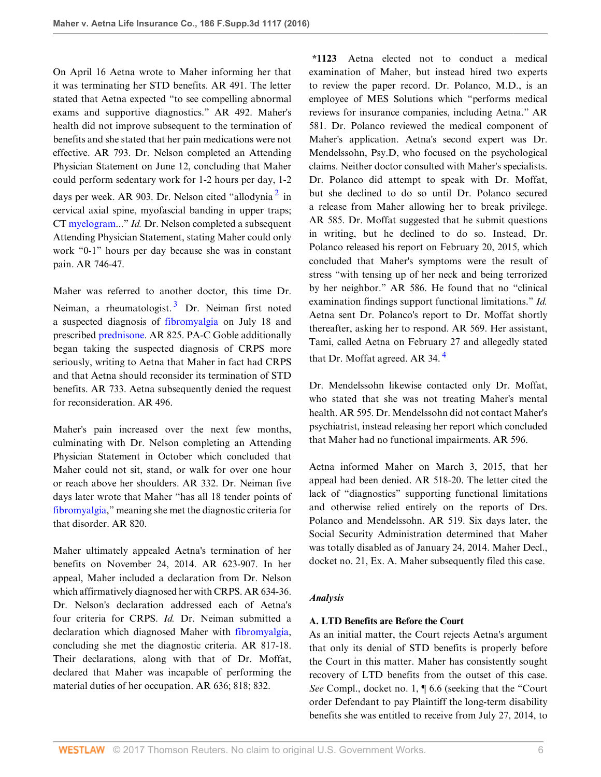On April 16 Aetna wrote to Maher informing her that it was terminating her STD benefits. AR 491. The letter stated that Aetna expected "to see compelling abnormal exams and supportive diagnostics." AR 492. Maher's health did not improve subsequent to the termination of benefits and she stated that her pain medications were not effective. AR 793. Dr. Nelson completed an Attending Physician Statement on June 12, concluding that Maher could perform sedentary work for 1-2 hours per day, 1-2 days per week. AR 903. Dr. Nelson cited "allodynia $^2$  $^2$  in cervical axial spine, myofascial banding in upper traps; CT [myelogram.](http://www.westlaw.com/Link/Document/FullText?entityType=mproc&entityId=Iae7268f9475411db9765f9243f53508a&originationContext=document&transitionType=DocumentItem&contextData=(sc.Default)&vr=3.0&rs=cblt1.0).." *Id.* Dr. Nelson completed a subsequent Attending Physician Statement, stating Maher could only work "0-1" hours per day because she was in constant pain. AR 746-47.

<span id="page-5-1"></span>Maher was referred to another doctor, this time Dr. Neiman, a rheumatologist.<sup>[3](#page-11-2)</sup> Dr. Neiman first noted a suspected diagnosis of [fibromyalgia](http://www.westlaw.com/Link/Document/FullText?entityType=disease&entityId=Ic21f0856475411db9765f9243f53508a&originationContext=document&transitionType=DocumentItem&contextData=(sc.Default)&vr=3.0&rs=cblt1.0) on July 18 and prescribed [prednisone](http://www.westlaw.com/Link/Document/FullText?entityType=gdrug&entityId=I3bd96ec6475111db9765f9243f53508a&originationContext=document&transitionType=DocumentItem&contextData=(sc.Default)&vr=3.0&rs=cblt1.0). AR 825. PA-C Goble additionally began taking the suspected diagnosis of CRPS more seriously, writing to Aetna that Maher in fact had CRPS and that Aetna should reconsider its termination of STD benefits. AR 733. Aetna subsequently denied the request for reconsideration. AR 496.

Maher's pain increased over the next few months, culminating with Dr. Nelson completing an Attending Physician Statement in October which concluded that Maher could not sit, stand, or walk for over one hour or reach above her shoulders. AR 332. Dr. Neiman five days later wrote that Maher "has all 18 tender points of [fibromyalgia,](http://www.westlaw.com/Link/Document/FullText?entityType=disease&entityId=Ic21f0856475411db9765f9243f53508a&originationContext=document&transitionType=DocumentItem&contextData=(sc.Default)&vr=3.0&rs=cblt1.0)" meaning she met the diagnostic criteria for that disorder. AR 820.

Maher ultimately appealed Aetna's termination of her benefits on November 24, 2014. AR 623-907. In her appeal, Maher included a declaration from Dr. Nelson which affirmatively diagnosed her with CRPS. AR 634-36. Dr. Nelson's declaration addressed each of Aetna's four criteria for CRPS. *Id.* Dr. Neiman submitted a declaration which diagnosed Maher with [fibromyalgia](http://www.westlaw.com/Link/Document/FullText?entityType=disease&entityId=Ic21f0856475411db9765f9243f53508a&originationContext=document&transitionType=DocumentItem&contextData=(sc.Default)&vr=3.0&rs=cblt1.0), concluding she met the diagnostic criteria. AR 817-18. Their declarations, along with that of Dr. Moffat, declared that Maher was incapable of performing the material duties of her occupation. AR 636; 818; 832.

<span id="page-5-0"></span>**\*1123** Aetna elected not to conduct a medical examination of Maher, but instead hired two experts to review the paper record. Dr. Polanco, M.D., is an employee of MES Solutions which "performs medical reviews for insurance companies, including Aetna." AR 581. Dr. Polanco reviewed the medical component of Maher's application. Aetna's second expert was Dr. Mendelssohn, Psy.D, who focused on the psychological claims. Neither doctor consulted with Maher's specialists. Dr. Polanco did attempt to speak with Dr. Moffat, but she declined to do so until Dr. Polanco secured a release from Maher allowing her to break privilege. AR 585. Dr. Moffat suggested that he submit questions in writing, but he declined to do so. Instead, Dr. Polanco released his report on February 20, 2015, which concluded that Maher's symptoms were the result of stress "with tensing up of her neck and being terrorized by her neighbor." AR 586. He found that no "clinical examination findings support functional limitations." *Id.* Aetna sent Dr. Polanco's report to Dr. Moffat shortly thereafter, asking her to respond. AR 569. Her assistant, Tami, called Aetna on February 27 and allegedly stated that Dr. Moffat agreed. AR 34. [4](#page-11-3)

<span id="page-5-2"></span>Dr. Mendelssohn likewise contacted only Dr. Moffat, who stated that she was not treating Maher's mental health. AR 595. Dr. Mendelssohn did not contact Maher's psychiatrist, instead releasing her report which concluded that Maher had no functional impairments. AR 596.

Aetna informed Maher on March 3, 2015, that her appeal had been denied. AR 518-20. The letter cited the lack of "diagnostics" supporting functional limitations and otherwise relied entirely on the reports of Drs. Polanco and Mendelssohn. AR 519. Six days later, the Social Security Administration determined that Maher was totally disabled as of January 24, 2014. Maher Decl., docket no. 21, Ex. A. Maher subsequently filed this case.

# *Analysis*

# **A. LTD Benefits are Before the Court**

As an initial matter, the Court rejects Aetna's argument that only its denial of STD benefits is properly before the Court in this matter. Maher has consistently sought recovery of LTD benefits from the outset of this case. *See* Compl., docket no. 1, ¶ 6.6 (seeking that the "Court order Defendant to pay Plaintiff the long-term disability benefits she was entitled to receive from July 27, 2014, to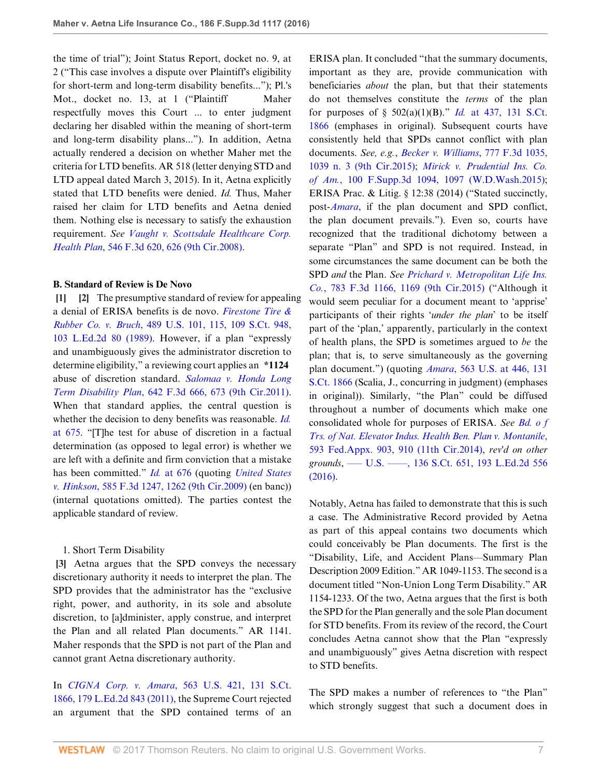the time of trial"); Joint Status Report, docket no. 9, at 2 ("This case involves a dispute over Plaintiff's eligibility for short-term and long-term disability benefits..."); Pl.'s Mot., docket no. 13, at 1 ("Plaintiff Maher respectfully moves this Court ... to enter judgment declaring her disabled within the meaning of short-term and long-term disability plans..."). In addition, Aetna actually rendered a decision on whether Maher met the criteria for LTD benefits. AR 518 (letter denying STD and LTD appeal dated March 3, 2015). In it, Aetna explicitly stated that LTD benefits were denied. *Id.* Thus, Maher raised her claim for LTD benefits and Aetna denied them. Nothing else is necessary to satisfy the exhaustion requirement. *See [Vaught v. Scottsdale Healthcare Corp.](http://www.westlaw.com/Link/Document/FullText?findType=Y&serNum=2017155182&pubNum=0000506&originatingDoc=I8d04fb601f1f11e6accba36daa2dab8f&refType=RP&fi=co_pp_sp_506_626&originationContext=document&vr=3.0&rs=cblt1.0&transitionType=DocumentItem&contextData=(sc.UserEnteredCitation)#co_pp_sp_506_626) Health Plan*[, 546 F.3d 620, 626 \(9th Cir.2008\).](http://www.westlaw.com/Link/Document/FullText?findType=Y&serNum=2017155182&pubNum=0000506&originatingDoc=I8d04fb601f1f11e6accba36daa2dab8f&refType=RP&fi=co_pp_sp_506_626&originationContext=document&vr=3.0&rs=cblt1.0&transitionType=DocumentItem&contextData=(sc.UserEnteredCitation)#co_pp_sp_506_626)

#### **B. Standard of Review is De Novo**

<span id="page-6-1"></span><span id="page-6-0"></span>**[\[1](#page-0-1)] [\[2](#page-0-2)]** The presumptive standard of review for appealing a denial of ERISA benefits is de novo. *[Firestone Tire &](http://www.westlaw.com/Link/Document/FullText?findType=Y&serNum=1989026578&pubNum=0000708&originatingDoc=I8d04fb601f1f11e6accba36daa2dab8f&refType=RP&originationContext=document&vr=3.0&rs=cblt1.0&transitionType=DocumentItem&contextData=(sc.UserEnteredCitation)) Rubber Co. v. Bruch*[, 489 U.S. 101, 115, 109 S.Ct. 948,](http://www.westlaw.com/Link/Document/FullText?findType=Y&serNum=1989026578&pubNum=0000708&originatingDoc=I8d04fb601f1f11e6accba36daa2dab8f&refType=RP&originationContext=document&vr=3.0&rs=cblt1.0&transitionType=DocumentItem&contextData=(sc.UserEnteredCitation)) [103 L.Ed.2d 80 \(1989\)](http://www.westlaw.com/Link/Document/FullText?findType=Y&serNum=1989026578&pubNum=0000708&originatingDoc=I8d04fb601f1f11e6accba36daa2dab8f&refType=RP&originationContext=document&vr=3.0&rs=cblt1.0&transitionType=DocumentItem&contextData=(sc.UserEnteredCitation)). However, if a plan "expressly and unambiguously gives the administrator discretion to determine eligibility," a reviewing court applies an **\*1124** abuse of discretion standard. *[Salomaa v. Honda Long](http://www.westlaw.com/Link/Document/FullText?findType=Y&serNum=2025355366&pubNum=0000506&originatingDoc=I8d04fb601f1f11e6accba36daa2dab8f&refType=RP&fi=co_pp_sp_506_673&originationContext=document&vr=3.0&rs=cblt1.0&transitionType=DocumentItem&contextData=(sc.UserEnteredCitation)#co_pp_sp_506_673) Term Disability Plan*[, 642 F.3d 666, 673 \(9th Cir.2011\)](http://www.westlaw.com/Link/Document/FullText?findType=Y&serNum=2025355366&pubNum=0000506&originatingDoc=I8d04fb601f1f11e6accba36daa2dab8f&refType=RP&fi=co_pp_sp_506_673&originationContext=document&vr=3.0&rs=cblt1.0&transitionType=DocumentItem&contextData=(sc.UserEnteredCitation)#co_pp_sp_506_673). When that standard applies, the central question is whether the decision to deny benefits was reasonable. *[Id.](http://www.westlaw.com/Link/Document/FullText?findType=Y&serNum=2025355366&pubNum=0000506&originatingDoc=I8d04fb601f1f11e6accba36daa2dab8f&refType=RP&fi=co_pp_sp_506_675&originationContext=document&vr=3.0&rs=cblt1.0&transitionType=DocumentItem&contextData=(sc.UserEnteredCitation)#co_pp_sp_506_675)* [at 675.](http://www.westlaw.com/Link/Document/FullText?findType=Y&serNum=2025355366&pubNum=0000506&originatingDoc=I8d04fb601f1f11e6accba36daa2dab8f&refType=RP&fi=co_pp_sp_506_675&originationContext=document&vr=3.0&rs=cblt1.0&transitionType=DocumentItem&contextData=(sc.UserEnteredCitation)#co_pp_sp_506_675) "[T]he test for abuse of discretion in a factual determination (as opposed to legal error) is whether we are left with a definite and firm conviction that a mistake has been committed." *Id.* [at 676](http://www.westlaw.com/Link/Document/FullText?findType=Y&serNum=2025355366&pubNum=0000506&originatingDoc=I8d04fb601f1f11e6accba36daa2dab8f&refType=RP&fi=co_pp_sp_506_676&originationContext=document&vr=3.0&rs=cblt1.0&transitionType=DocumentItem&contextData=(sc.UserEnteredCitation)#co_pp_sp_506_676) (quoting *[United States](http://www.westlaw.com/Link/Document/FullText?findType=Y&serNum=2020306289&pubNum=0000506&originatingDoc=I8d04fb601f1f11e6accba36daa2dab8f&refType=RP&fi=co_pp_sp_506_1262&originationContext=document&vr=3.0&rs=cblt1.0&transitionType=DocumentItem&contextData=(sc.UserEnteredCitation)#co_pp_sp_506_1262) v. Hinkson*[, 585 F.3d 1247, 1262 \(9th Cir.2009\)](http://www.westlaw.com/Link/Document/FullText?findType=Y&serNum=2020306289&pubNum=0000506&originatingDoc=I8d04fb601f1f11e6accba36daa2dab8f&refType=RP&fi=co_pp_sp_506_1262&originationContext=document&vr=3.0&rs=cblt1.0&transitionType=DocumentItem&contextData=(sc.UserEnteredCitation)#co_pp_sp_506_1262) (en banc)) (internal quotations omitted). The parties contest the applicable standard of review.

# <span id="page-6-2"></span>1. Short Term Disability

**[\[3](#page-0-0)]** Aetna argues that the SPD conveys the necessary discretionary authority it needs to interpret the plan. The SPD provides that the administrator has the "exclusive right, power, and authority, in its sole and absolute discretion, to [a]dminister, apply construe, and interpret the Plan and all related Plan documents." AR 1141. Maher responds that the SPD is not part of the Plan and cannot grant Aetna discretionary authority.

In *CIGNA Corp. v. Amara*[, 563 U.S. 421, 131 S.Ct.](http://www.westlaw.com/Link/Document/FullText?findType=Y&serNum=2025286347&pubNum=0000708&originatingDoc=I8d04fb601f1f11e6accba36daa2dab8f&refType=RP&originationContext=document&vr=3.0&rs=cblt1.0&transitionType=DocumentItem&contextData=(sc.UserEnteredCitation)) [1866, 179 L.Ed.2d 843 \(2011\),](http://www.westlaw.com/Link/Document/FullText?findType=Y&serNum=2025286347&pubNum=0000708&originatingDoc=I8d04fb601f1f11e6accba36daa2dab8f&refType=RP&originationContext=document&vr=3.0&rs=cblt1.0&transitionType=DocumentItem&contextData=(sc.UserEnteredCitation)) the Supreme Court rejected an argument that the SPD contained terms of an ERISA plan. It concluded "that the summary documents, important as they are, provide communication with beneficiaries *about* the plan, but that their statements do not themselves constitute the *terms* of the plan for purposes of § 502(a)(1)(B)." *Id.* [at 437, 131 S.Ct.](http://www.westlaw.com/Link/Document/FullText?findType=Y&serNum=2025286347&pubNum=0000708&originatingDoc=I8d04fb601f1f11e6accba36daa2dab8f&refType=RP&originationContext=document&vr=3.0&rs=cblt1.0&transitionType=DocumentItem&contextData=(sc.UserEnteredCitation)) [1866](http://www.westlaw.com/Link/Document/FullText?findType=Y&serNum=2025286347&pubNum=0000708&originatingDoc=I8d04fb601f1f11e6accba36daa2dab8f&refType=RP&originationContext=document&vr=3.0&rs=cblt1.0&transitionType=DocumentItem&contextData=(sc.UserEnteredCitation)) (emphases in original). Subsequent courts have consistently held that SPDs cannot conflict with plan documents. *See, e.g.*, *[Becker v. Williams](http://www.westlaw.com/Link/Document/FullText?findType=Y&serNum=2035344248&pubNum=0000506&originatingDoc=I8d04fb601f1f11e6accba36daa2dab8f&refType=RP&fi=co_pp_sp_506_1039&originationContext=document&vr=3.0&rs=cblt1.0&transitionType=DocumentItem&contextData=(sc.UserEnteredCitation)#co_pp_sp_506_1039)*, 777 F.3d 1035, [1039 n. 3 \(9th Cir.2015\)](http://www.westlaw.com/Link/Document/FullText?findType=Y&serNum=2035344248&pubNum=0000506&originatingDoc=I8d04fb601f1f11e6accba36daa2dab8f&refType=RP&fi=co_pp_sp_506_1039&originationContext=document&vr=3.0&rs=cblt1.0&transitionType=DocumentItem&contextData=(sc.UserEnteredCitation)#co_pp_sp_506_1039); *[Mirick v. Prudential Ins. Co.](http://www.westlaw.com/Link/Document/FullText?findType=Y&serNum=2036167988&pubNum=0007903&originatingDoc=I8d04fb601f1f11e6accba36daa2dab8f&refType=RP&fi=co_pp_sp_7903_1097&originationContext=document&vr=3.0&rs=cblt1.0&transitionType=DocumentItem&contextData=(sc.UserEnteredCitation)#co_pp_sp_7903_1097) of Am.*[, 100 F.Supp.3d 1094, 1097 \(W.D.Wash.2015\)](http://www.westlaw.com/Link/Document/FullText?findType=Y&serNum=2036167988&pubNum=0007903&originatingDoc=I8d04fb601f1f11e6accba36daa2dab8f&refType=RP&fi=co_pp_sp_7903_1097&originationContext=document&vr=3.0&rs=cblt1.0&transitionType=DocumentItem&contextData=(sc.UserEnteredCitation)#co_pp_sp_7903_1097); ERISA Prac. & Litig. § 12:38 (2014) ("Stated succinctly, post-*[Amara](http://www.westlaw.com/Link/Document/FullText?findType=Y&serNum=2025286347&pubNum=0000780&originatingDoc=I8d04fb601f1f11e6accba36daa2dab8f&refType=RP&originationContext=document&vr=3.0&rs=cblt1.0&transitionType=DocumentItem&contextData=(sc.UserEnteredCitation))*, if the plan document and SPD conflict, the plan document prevails."). Even so, courts have recognized that the traditional dichotomy between a separate "Plan" and SPD is not required. Instead, in some circumstances the same document can be both the SPD *and* the Plan. *See [Prichard v. Metropolitan Life Ins.](http://www.westlaw.com/Link/Document/FullText?findType=Y&serNum=2036087645&pubNum=0000506&originatingDoc=I8d04fb601f1f11e6accba36daa2dab8f&refType=RP&fi=co_pp_sp_506_1169&originationContext=document&vr=3.0&rs=cblt1.0&transitionType=DocumentItem&contextData=(sc.UserEnteredCitation)#co_pp_sp_506_1169) Co.*[, 783 F.3d 1166, 1169 \(9th Cir.2015\)](http://www.westlaw.com/Link/Document/FullText?findType=Y&serNum=2036087645&pubNum=0000506&originatingDoc=I8d04fb601f1f11e6accba36daa2dab8f&refType=RP&fi=co_pp_sp_506_1169&originationContext=document&vr=3.0&rs=cblt1.0&transitionType=DocumentItem&contextData=(sc.UserEnteredCitation)#co_pp_sp_506_1169) ("Although it would seem peculiar for a document meant to 'apprise' participants of their rights '*under the plan*' to be itself part of the 'plan,' apparently, particularly in the context of health plans, the SPD is sometimes argued to *be* the plan; that is, to serve simultaneously as the governing plan document.") (quoting *Amara*[, 563 U.S. at 446, 131](http://www.westlaw.com/Link/Document/FullText?findType=Y&serNum=2025286347&pubNum=0000708&originatingDoc=I8d04fb601f1f11e6accba36daa2dab8f&refType=RP&originationContext=document&vr=3.0&rs=cblt1.0&transitionType=DocumentItem&contextData=(sc.UserEnteredCitation)) [S.Ct. 1866](http://www.westlaw.com/Link/Document/FullText?findType=Y&serNum=2025286347&pubNum=0000708&originatingDoc=I8d04fb601f1f11e6accba36daa2dab8f&refType=RP&originationContext=document&vr=3.0&rs=cblt1.0&transitionType=DocumentItem&contextData=(sc.UserEnteredCitation)) (Scalia, J., concurring in judgment) (emphases in original)). Similarly, "the Plan" could be diffused throughout a number of documents which make one consolidated whole for purposes of ERISA. *See [Bd. o f](http://www.westlaw.com/Link/Document/FullText?findType=Y&serNum=2034861579&pubNum=0006538&originatingDoc=I8d04fb601f1f11e6accba36daa2dab8f&refType=RP&fi=co_pp_sp_6538_910&originationContext=document&vr=3.0&rs=cblt1.0&transitionType=DocumentItem&contextData=(sc.UserEnteredCitation)#co_pp_sp_6538_910) [Trs. of Nat. Elevator Indus. Health Ben. Plan v. Montanile](http://www.westlaw.com/Link/Document/FullText?findType=Y&serNum=2034861579&pubNum=0006538&originatingDoc=I8d04fb601f1f11e6accba36daa2dab8f&refType=RP&fi=co_pp_sp_6538_910&originationContext=document&vr=3.0&rs=cblt1.0&transitionType=DocumentItem&contextData=(sc.UserEnteredCitation)#co_pp_sp_6538_910)*, [593 Fed.Appx. 903, 910 \(11th Cir.2014\),](http://www.westlaw.com/Link/Document/FullText?findType=Y&serNum=2034861579&pubNum=0006538&originatingDoc=I8d04fb601f1f11e6accba36daa2dab8f&refType=RP&fi=co_pp_sp_6538_910&originationContext=document&vr=3.0&rs=cblt1.0&transitionType=DocumentItem&contextData=(sc.UserEnteredCitation)#co_pp_sp_6538_910) *rev'd on other grounds*, [––– U.S. ––––, 136 S.Ct. 651, 193 L.Ed.2d 556](http://www.westlaw.com/Link/Document/FullText?findType=Y&serNum=2038092113&pubNum=0000708&originatingDoc=I8d04fb601f1f11e6accba36daa2dab8f&refType=RP&originationContext=document&vr=3.0&rs=cblt1.0&transitionType=DocumentItem&contextData=(sc.UserEnteredCitation)) [\(2016\).](http://www.westlaw.com/Link/Document/FullText?findType=Y&serNum=2038092113&pubNum=0000708&originatingDoc=I8d04fb601f1f11e6accba36daa2dab8f&refType=RP&originationContext=document&vr=3.0&rs=cblt1.0&transitionType=DocumentItem&contextData=(sc.UserEnteredCitation))

Notably, Aetna has failed to demonstrate that this is such a case. The Administrative Record provided by Aetna as part of this appeal contains two documents which could conceivably be Plan documents. The first is the "Disability, Life, and Accident Plans—Summary Plan Description 2009 Edition." AR 1049-1153. The second is a document titled "Non-Union Long Term Disability." AR 1154-1233. Of the two, Aetna argues that the first is both the SPD for the Plan generally and the sole Plan document for STD benefits. From its review of the record, the Court concludes Aetna cannot show that the Plan "expressly and unambiguously" gives Aetna discretion with respect to STD benefits.

The SPD makes a number of references to "the Plan" which strongly suggest that such a document does in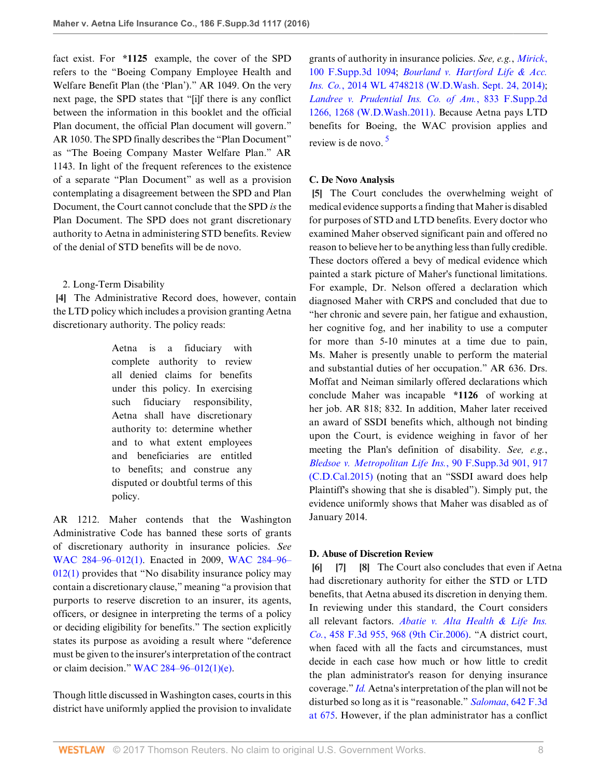fact exist. For **\*1125** example, the cover of the SPD refers to the "Boeing Company Employee Health and Welfare Benefit Plan (the 'Plan')." AR 1049. On the very next page, the SPD states that "[i]f there is any conflict between the information in this booklet and the official Plan document, the official Plan document will govern." AR 1050. The SPD finally describes the "Plan Document" as "The Boeing Company Master Welfare Plan." AR 1143. In light of the frequent references to the existence of a separate "Plan Document" as well as a provision contemplating a disagreement between the SPD and Plan Document, the Court cannot conclude that the SPD *is* the Plan Document. The SPD does not grant discretionary authority to Aetna in administering STD benefits. Review of the denial of STD benefits will be de novo.

# <span id="page-7-0"></span>2. Long-Term Disability

**[\[4](#page-1-0)]** The Administrative Record does, however, contain the LTD policy which includes a provision granting Aetna discretionary authority. The policy reads:

> Aetna is a fiduciary with complete authority to review all denied claims for benefits under this policy. In exercising such fiduciary responsibility, Aetna shall have discretionary authority to: determine whether and to what extent employees and beneficiaries are entitled to benefits; and construe any disputed or doubtful terms of this policy.

AR 1212. Maher contends that the Washington Administrative Code has banned these sorts of grants of discretionary authority in insurance policies. *See* [WAC 284–96–012\(1\)](http://www.westlaw.com/Link/Document/FullText?findType=L&pubNum=1003807&cite=WAADC284-96-012&originatingDoc=I8d04fb601f1f11e6accba36daa2dab8f&refType=LQ&originationContext=document&vr=3.0&rs=cblt1.0&transitionType=DocumentItem&contextData=(sc.UserEnteredCitation)). Enacted in 2009, [WAC 284–96–](http://www.westlaw.com/Link/Document/FullText?findType=L&pubNum=1003807&cite=WAADC284-96-012&originatingDoc=I8d04fb601f1f11e6accba36daa2dab8f&refType=LQ&originationContext=document&vr=3.0&rs=cblt1.0&transitionType=DocumentItem&contextData=(sc.UserEnteredCitation))  $012(1)$  provides that "No disability insurance policy may contain a discretionary clause," meaning "a provision that purports to reserve discretion to an insurer, its agents, officers, or designee in interpreting the terms of a policy or deciding eligibility for benefits." The section explicitly states its purpose as avoiding a result where "deference must be given to the insurer's interpretation of the contract or claim decision." [WAC 284–96–012\(1\)\(e\)](http://www.westlaw.com/Link/Document/FullText?findType=L&pubNum=1003807&cite=WAADC284-96-012&originatingDoc=I8d04fb601f1f11e6accba36daa2dab8f&refType=LQ&originationContext=document&vr=3.0&rs=cblt1.0&transitionType=DocumentItem&contextData=(sc.UserEnteredCitation)).

Though little discussed in Washington cases, courts in this district have uniformly applied the provision to invalidate grants of authority in insurance policies. *See, e.g.*, *[Mirick](http://www.westlaw.com/Link/Document/FullText?findType=Y&serNum=2036167988&pubNum=0007903&originatingDoc=I8d04fb601f1f11e6accba36daa2dab8f&refType=RP&originationContext=document&vr=3.0&rs=cblt1.0&transitionType=DocumentItem&contextData=(sc.UserEnteredCitation))*, [100 F.Supp.3d 1094](http://www.westlaw.com/Link/Document/FullText?findType=Y&serNum=2036167988&pubNum=0007903&originatingDoc=I8d04fb601f1f11e6accba36daa2dab8f&refType=RP&originationContext=document&vr=3.0&rs=cblt1.0&transitionType=DocumentItem&contextData=(sc.UserEnteredCitation)); *[Bourland v. Hartford Life & Acc.](http://www.westlaw.com/Link/Document/FullText?findType=Y&serNum=2034375501&pubNum=0000999&originatingDoc=I8d04fb601f1f11e6accba36daa2dab8f&refType=RP&originationContext=document&vr=3.0&rs=cblt1.0&transitionType=DocumentItem&contextData=(sc.UserEnteredCitation)) Ins. Co.*[, 2014 WL 4748218 \(W.D.Wash. Sept. 24, 2014\)](http://www.westlaw.com/Link/Document/FullText?findType=Y&serNum=2034375501&pubNum=0000999&originatingDoc=I8d04fb601f1f11e6accba36daa2dab8f&refType=RP&originationContext=document&vr=3.0&rs=cblt1.0&transitionType=DocumentItem&contextData=(sc.UserEnteredCitation)); *[Landree v. Prudential Ins. Co. of Am.](http://www.westlaw.com/Link/Document/FullText?findType=Y&serNum=2025510016&pubNum=0004637&originatingDoc=I8d04fb601f1f11e6accba36daa2dab8f&refType=RP&fi=co_pp_sp_4637_1268&originationContext=document&vr=3.0&rs=cblt1.0&transitionType=DocumentItem&contextData=(sc.UserEnteredCitation)#co_pp_sp_4637_1268)*, 833 F.Supp.2d [1266, 1268 \(W.D.Wash.2011\)](http://www.westlaw.com/Link/Document/FullText?findType=Y&serNum=2025510016&pubNum=0004637&originatingDoc=I8d04fb601f1f11e6accba36daa2dab8f&refType=RP&fi=co_pp_sp_4637_1268&originationContext=document&vr=3.0&rs=cblt1.0&transitionType=DocumentItem&contextData=(sc.UserEnteredCitation)#co_pp_sp_4637_1268). Because Aetna pays LTD benefits for Boeing, the WAC provision applies and review is de novo. [5](#page-11-4)

# <span id="page-7-5"></span>**C. De Novo Analysis**

<span id="page-7-1"></span>**[\[5](#page-1-1)]** The Court concludes the overwhelming weight of medical evidence supports a finding that Maher is disabled for purposes of STD and LTD benefits. Every doctor who examined Maher observed significant pain and offered no reason to believe her to be anything less than fully credible. These doctors offered a bevy of medical evidence which painted a stark picture of Maher's functional limitations. For example, Dr. Nelson offered a declaration which diagnosed Maher with CRPS and concluded that due to "her chronic and severe pain, her fatigue and exhaustion, her cognitive fog, and her inability to use a computer for more than 5-10 minutes at a time due to pain, Ms. Maher is presently unable to perform the material and substantial duties of her occupation." AR 636. Drs. Moffat and Neiman similarly offered declarations which conclude Maher was incapable **\*1126** of working at her job. AR 818; 832. In addition, Maher later received an award of SSDI benefits which, although not binding upon the Court, is evidence weighing in favor of her meeting the Plan's definition of disability. *See, e.g.*, *Bledsoe v. Metropolitan Life Ins.*[, 90 F.Supp.3d 901, 917](http://www.westlaw.com/Link/Document/FullText?findType=Y&serNum=2035483862&pubNum=0007903&originatingDoc=I8d04fb601f1f11e6accba36daa2dab8f&refType=RP&fi=co_pp_sp_7903_917&originationContext=document&vr=3.0&rs=cblt1.0&transitionType=DocumentItem&contextData=(sc.UserEnteredCitation)#co_pp_sp_7903_917) [\(C.D.Cal.2015\)](http://www.westlaw.com/Link/Document/FullText?findType=Y&serNum=2035483862&pubNum=0007903&originatingDoc=I8d04fb601f1f11e6accba36daa2dab8f&refType=RP&fi=co_pp_sp_7903_917&originationContext=document&vr=3.0&rs=cblt1.0&transitionType=DocumentItem&contextData=(sc.UserEnteredCitation)#co_pp_sp_7903_917) (noting that an "SSDI award does help Plaintiff's showing that she is disabled"). Simply put, the evidence uniformly shows that Maher was disabled as of January 2014.

# **D. Abuse of Discretion Review**

<span id="page-7-4"></span><span id="page-7-3"></span><span id="page-7-2"></span>**[\[6](#page-1-2)] [\[7\]](#page-1-3) [\[8\]](#page-1-4)** The Court also concludes that even if Aetna had discretionary authority for either the STD or LTD benefits, that Aetna abused its discretion in denying them. In reviewing under this standard, the Court considers all relevant factors. *[Abatie v. Alta Health & Life Ins.](http://www.westlaw.com/Link/Document/FullText?findType=Y&serNum=2009728490&pubNum=0000506&originatingDoc=I8d04fb601f1f11e6accba36daa2dab8f&refType=RP&fi=co_pp_sp_506_968&originationContext=document&vr=3.0&rs=cblt1.0&transitionType=DocumentItem&contextData=(sc.UserEnteredCitation)#co_pp_sp_506_968) Co.*[, 458 F.3d 955, 968 \(9th Cir.2006\)](http://www.westlaw.com/Link/Document/FullText?findType=Y&serNum=2009728490&pubNum=0000506&originatingDoc=I8d04fb601f1f11e6accba36daa2dab8f&refType=RP&fi=co_pp_sp_506_968&originationContext=document&vr=3.0&rs=cblt1.0&transitionType=DocumentItem&contextData=(sc.UserEnteredCitation)#co_pp_sp_506_968). "A district court, when faced with all the facts and circumstances, must decide in each case how much or how little to credit the plan administrator's reason for denying insurance coverage." *[Id.](http://www.westlaw.com/Link/Document/FullText?findType=Y&serNum=2009728490&pubNum=0000506&originatingDoc=I8d04fb601f1f11e6accba36daa2dab8f&refType=RP&originationContext=document&vr=3.0&rs=cblt1.0&transitionType=DocumentItem&contextData=(sc.UserEnteredCitation))* Aetna's interpretation of the plan will not be disturbed so long as it is "reasonable." *Salomaa*[, 642 F.3d](http://www.westlaw.com/Link/Document/FullText?findType=Y&serNum=2025355366&pubNum=0000506&originatingDoc=I8d04fb601f1f11e6accba36daa2dab8f&refType=RP&fi=co_pp_sp_506_675&originationContext=document&vr=3.0&rs=cblt1.0&transitionType=DocumentItem&contextData=(sc.UserEnteredCitation)#co_pp_sp_506_675) [at 675](http://www.westlaw.com/Link/Document/FullText?findType=Y&serNum=2025355366&pubNum=0000506&originatingDoc=I8d04fb601f1f11e6accba36daa2dab8f&refType=RP&fi=co_pp_sp_506_675&originationContext=document&vr=3.0&rs=cblt1.0&transitionType=DocumentItem&contextData=(sc.UserEnteredCitation)#co_pp_sp_506_675). However, if the plan administrator has a conflict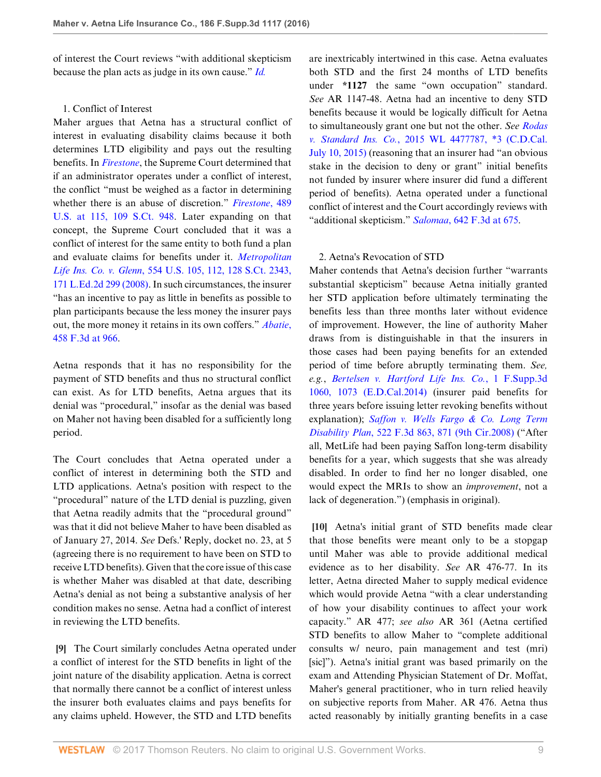of interest the Court reviews "with additional skepticism because the plan acts as judge in its own cause." *[Id.](http://www.westlaw.com/Link/Document/FullText?findType=Y&serNum=2025355366&pubNum=0000506&originatingDoc=I8d04fb601f1f11e6accba36daa2dab8f&refType=RP&originationContext=document&vr=3.0&rs=cblt1.0&transitionType=DocumentItem&contextData=(sc.UserEnteredCitation))*

# 1. Conflict of Interest

Maher argues that Aetna has a structural conflict of interest in evaluating disability claims because it both determines LTD eligibility and pays out the resulting benefits. In *[Firestone](http://www.westlaw.com/Link/Document/FullText?findType=Y&serNum=1989026578&pubNum=0000780&originatingDoc=I8d04fb601f1f11e6accba36daa2dab8f&refType=RP&originationContext=document&vr=3.0&rs=cblt1.0&transitionType=DocumentItem&contextData=(sc.UserEnteredCitation))*, the Supreme Court determined that if an administrator operates under a conflict of interest, the conflict "must be weighed as a factor in determining whether there is an abuse of discretion." *[Firestone](http://www.westlaw.com/Link/Document/FullText?findType=Y&serNum=1989026578&pubNum=0000708&originatingDoc=I8d04fb601f1f11e6accba36daa2dab8f&refType=RP&originationContext=document&vr=3.0&rs=cblt1.0&transitionType=DocumentItem&contextData=(sc.UserEnteredCitation))*, 489 [U.S. at 115, 109 S.Ct. 948](http://www.westlaw.com/Link/Document/FullText?findType=Y&serNum=1989026578&pubNum=0000708&originatingDoc=I8d04fb601f1f11e6accba36daa2dab8f&refType=RP&originationContext=document&vr=3.0&rs=cblt1.0&transitionType=DocumentItem&contextData=(sc.UserEnteredCitation)). Later expanding on that concept, the Supreme Court concluded that it was a conflict of interest for the same entity to both fund a plan and evaluate claims for benefits under it. *[Metropolitan](http://www.westlaw.com/Link/Document/FullText?findType=Y&serNum=2016336257&pubNum=0000708&originatingDoc=I8d04fb601f1f11e6accba36daa2dab8f&refType=RP&originationContext=document&vr=3.0&rs=cblt1.0&transitionType=DocumentItem&contextData=(sc.UserEnteredCitation)) Life Ins. Co. v. Glenn*[, 554 U.S. 105, 112, 128 S.Ct. 2343,](http://www.westlaw.com/Link/Document/FullText?findType=Y&serNum=2016336257&pubNum=0000708&originatingDoc=I8d04fb601f1f11e6accba36daa2dab8f&refType=RP&originationContext=document&vr=3.0&rs=cblt1.0&transitionType=DocumentItem&contextData=(sc.UserEnteredCitation)) [171 L.Ed.2d 299 \(2008\)](http://www.westlaw.com/Link/Document/FullText?findType=Y&serNum=2016336257&pubNum=0000708&originatingDoc=I8d04fb601f1f11e6accba36daa2dab8f&refType=RP&originationContext=document&vr=3.0&rs=cblt1.0&transitionType=DocumentItem&contextData=(sc.UserEnteredCitation)). In such circumstances, the insurer "has an incentive to pay as little in benefits as possible to plan participants because the less money the insurer pays out, the more money it retains in its own coffers." *[Abatie](http://www.westlaw.com/Link/Document/FullText?findType=Y&serNum=2009728490&pubNum=0000506&originatingDoc=I8d04fb601f1f11e6accba36daa2dab8f&refType=RP&fi=co_pp_sp_506_966&originationContext=document&vr=3.0&rs=cblt1.0&transitionType=DocumentItem&contextData=(sc.UserEnteredCitation)#co_pp_sp_506_966)*, [458 F.3d at 966.](http://www.westlaw.com/Link/Document/FullText?findType=Y&serNum=2009728490&pubNum=0000506&originatingDoc=I8d04fb601f1f11e6accba36daa2dab8f&refType=RP&fi=co_pp_sp_506_966&originationContext=document&vr=3.0&rs=cblt1.0&transitionType=DocumentItem&contextData=(sc.UserEnteredCitation)#co_pp_sp_506_966)

Aetna responds that it has no responsibility for the payment of STD benefits and thus no structural conflict can exist. As for LTD benefits, Aetna argues that its denial was "procedural," insofar as the denial was based on Maher not having been disabled for a sufficiently long period.

The Court concludes that Aetna operated under a conflict of interest in determining both the STD and LTD applications. Aetna's position with respect to the "procedural" nature of the LTD denial is puzzling, given that Aetna readily admits that the "procedural ground" was that it did not believe Maher to have been disabled as of January 27, 2014. *See* Defs.' Reply, docket no. 23, at 5 (agreeing there is no requirement to have been on STD to receive LTD benefits). Given that the core issue of this case is whether Maher was disabled at that date, describing Aetna's denial as not being a substantive analysis of her condition makes no sense. Aetna had a conflict of interest in reviewing the LTD benefits.

<span id="page-8-0"></span>**[\[9](#page-2-2)]** The Court similarly concludes Aetna operated under a conflict of interest for the STD benefits in light of the joint nature of the disability application. Aetna is correct that normally there cannot be a conflict of interest unless the insurer both evaluates claims and pays benefits for any claims upheld. However, the STD and LTD benefits

are inextricably intertwined in this case. Aetna evaluates both STD and the first 24 months of LTD benefits under **\*1127** the same "own occupation" standard. *See* AR 1147-48. Aetna had an incentive to deny STD benefits because it would be logically difficult for Aetna to simultaneously grant one but not the other. *See [Rodas](http://www.westlaw.com/Link/Document/FullText?findType=Y&serNum=2036745728&pubNum=0000999&originatingDoc=I8d04fb601f1f11e6accba36daa2dab8f&refType=RP&originationContext=document&vr=3.0&rs=cblt1.0&transitionType=DocumentItem&contextData=(sc.UserEnteredCitation)) v. Standard Ins. Co.*[, 2015 WL 4477787, \\*3 \(C.D.Cal.](http://www.westlaw.com/Link/Document/FullText?findType=Y&serNum=2036745728&pubNum=0000999&originatingDoc=I8d04fb601f1f11e6accba36daa2dab8f&refType=RP&originationContext=document&vr=3.0&rs=cblt1.0&transitionType=DocumentItem&contextData=(sc.UserEnteredCitation)) [July 10, 2015\)](http://www.westlaw.com/Link/Document/FullText?findType=Y&serNum=2036745728&pubNum=0000999&originatingDoc=I8d04fb601f1f11e6accba36daa2dab8f&refType=RP&originationContext=document&vr=3.0&rs=cblt1.0&transitionType=DocumentItem&contextData=(sc.UserEnteredCitation)) (reasoning that an insurer had "an obvious stake in the decision to deny or grant" initial benefits not funded by insurer where insurer did fund a different period of benefits). Aetna operated under a functional conflict of interest and the Court accordingly reviews with "additional skepticism." *Salomaa*[, 642 F.3d at 675](http://www.westlaw.com/Link/Document/FullText?findType=Y&serNum=2025355366&pubNum=0000506&originatingDoc=I8d04fb601f1f11e6accba36daa2dab8f&refType=RP&fi=co_pp_sp_506_675&originationContext=document&vr=3.0&rs=cblt1.0&transitionType=DocumentItem&contextData=(sc.UserEnteredCitation)#co_pp_sp_506_675).

# 2. Aetna's Revocation of STD

Maher contends that Aetna's decision further "warrants substantial skepticism" because Aetna initially granted her STD application before ultimately terminating the benefits less than three months later without evidence of improvement. However, the line of authority Maher draws from is distinguishable in that the insurers in those cases had been paying benefits for an extended period of time before abruptly terminating them. *See, e.g.*, *[Bertelsen v. Hartford Life Ins. Co.](http://www.westlaw.com/Link/Document/FullText?findType=Y&serNum=2032735887&pubNum=0007903&originatingDoc=I8d04fb601f1f11e6accba36daa2dab8f&refType=RP&fi=co_pp_sp_7903_1073&originationContext=document&vr=3.0&rs=cblt1.0&transitionType=DocumentItem&contextData=(sc.UserEnteredCitation)#co_pp_sp_7903_1073)*, 1 F.Supp.3d [1060, 1073 \(E.D.Cal.2014\)](http://www.westlaw.com/Link/Document/FullText?findType=Y&serNum=2032735887&pubNum=0007903&originatingDoc=I8d04fb601f1f11e6accba36daa2dab8f&refType=RP&fi=co_pp_sp_7903_1073&originationContext=document&vr=3.0&rs=cblt1.0&transitionType=DocumentItem&contextData=(sc.UserEnteredCitation)#co_pp_sp_7903_1073) (insurer paid benefits for three years before issuing letter revoking benefits without explanation); *[Saffon v. Wells Fargo & Co. Long Term](http://www.westlaw.com/Link/Document/FullText?findType=Y&serNum=2015801487&pubNum=0000506&originatingDoc=I8d04fb601f1f11e6accba36daa2dab8f&refType=RP&fi=co_pp_sp_506_871&originationContext=document&vr=3.0&rs=cblt1.0&transitionType=DocumentItem&contextData=(sc.UserEnteredCitation)#co_pp_sp_506_871) Disability Plan*[, 522 F.3d 863, 871 \(9th Cir.2008\)](http://www.westlaw.com/Link/Document/FullText?findType=Y&serNum=2015801487&pubNum=0000506&originatingDoc=I8d04fb601f1f11e6accba36daa2dab8f&refType=RP&fi=co_pp_sp_506_871&originationContext=document&vr=3.0&rs=cblt1.0&transitionType=DocumentItem&contextData=(sc.UserEnteredCitation)#co_pp_sp_506_871) ("After all, MetLife had been paying Saffon long-term disability benefits for a year, which suggests that she was already disabled. In order to find her no longer disabled, one would expect the MRIs to show an *improvement*, not a lack of degeneration.") (emphasis in original).

<span id="page-8-1"></span>**[\[10](#page-2-0)]** Aetna's initial grant of STD benefits made clear that those benefits were meant only to be a stopgap until Maher was able to provide additional medical evidence as to her disability. *See* AR 476-77. In its letter, Aetna directed Maher to supply medical evidence which would provide Aetna "with a clear understanding of how your disability continues to affect your work capacity." AR 477; *see also* AR 361 (Aetna certified STD benefits to allow Maher to "complete additional consults w/ neuro, pain management and test (mri) [sic]"). Aetna's initial grant was based primarily on the exam and Attending Physician Statement of Dr. Moffat, Maher's general practitioner, who in turn relied heavily on subjective reports from Maher. AR 476. Aetna thus acted reasonably by initially granting benefits in a case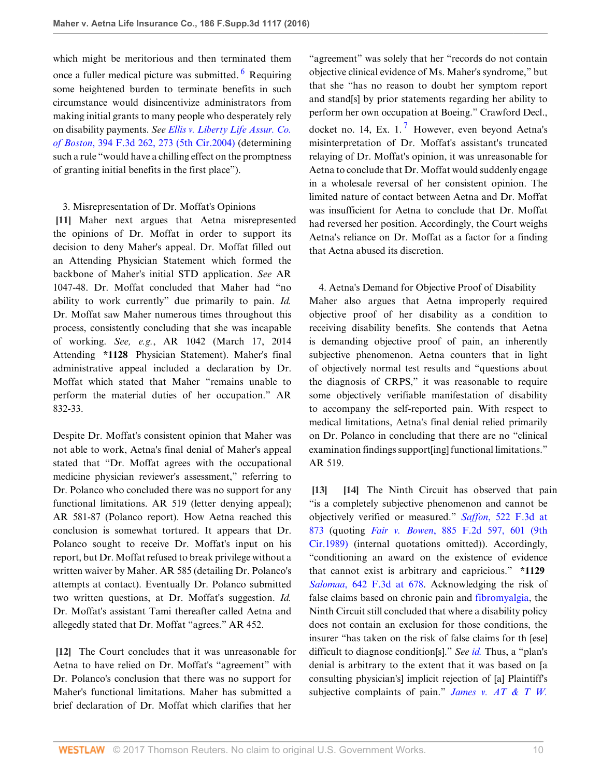which might be meritorious and then terminated them once a fuller medical picture was submitted. <sup>[6](#page-11-5)</sup> Requiring some heightened burden to terminate benefits in such circumstance would disincentivize administrators from making initial grants to many people who desperately rely on disability payments. *See [Ellis v. Liberty Life Assur. Co.](http://www.westlaw.com/Link/Document/FullText?findType=Y&serNum=2005547099&pubNum=0000506&originatingDoc=I8d04fb601f1f11e6accba36daa2dab8f&refType=RP&fi=co_pp_sp_506_273&originationContext=document&vr=3.0&rs=cblt1.0&transitionType=DocumentItem&contextData=(sc.UserEnteredCitation)#co_pp_sp_506_273) of Boston*[, 394 F.3d 262, 273 \(5th Cir.2004\)](http://www.westlaw.com/Link/Document/FullText?findType=Y&serNum=2005547099&pubNum=0000506&originatingDoc=I8d04fb601f1f11e6accba36daa2dab8f&refType=RP&fi=co_pp_sp_506_273&originationContext=document&vr=3.0&rs=cblt1.0&transitionType=DocumentItem&contextData=(sc.UserEnteredCitation)#co_pp_sp_506_273) (determining such a rule "would have a chilling effect on the promptness of granting initial benefits in the first place").

# <span id="page-9-0"></span>3. Misrepresentation of Dr. Moffat's Opinions

**[\[11](#page-2-1)]** Maher next argues that Aetna misrepresented the opinions of Dr. Moffat in order to support its decision to deny Maher's appeal. Dr. Moffat filled out an Attending Physician Statement which formed the backbone of Maher's initial STD application. *See* AR 1047-48. Dr. Moffat concluded that Maher had "no ability to work currently" due primarily to pain. *Id.* Dr. Moffat saw Maher numerous times throughout this process, consistently concluding that she was incapable of working. *See, e.g.*, AR 1042 (March 17, 2014 Attending **\*1128** Physician Statement). Maher's final administrative appeal included a declaration by Dr. Moffat which stated that Maher "remains unable to perform the material duties of her occupation." AR 832-33.

Despite Dr. Moffat's consistent opinion that Maher was not able to work, Aetna's final denial of Maher's appeal stated that "Dr. Moffat agrees with the occupational medicine physician reviewer's assessment," referring to Dr. Polanco who concluded there was no support for any functional limitations. AR 519 (letter denying appeal); AR 581-87 (Polanco report). How Aetna reached this conclusion is somewhat tortured. It appears that Dr. Polanco sought to receive Dr. Moffat's input on his report, but Dr. Moffat refused to break privilege without a written waiver by Maher. AR 585 (detailing Dr. Polanco's attempts at contact). Eventually Dr. Polanco submitted two written questions, at Dr. Moffat's suggestion. *Id.* Dr. Moffat's assistant Tami thereafter called Aetna and allegedly stated that Dr. Moffat "agrees." AR 452.

<span id="page-9-1"></span>**[\[12](#page-2-3)]** The Court concludes that it was unreasonable for Aetna to have relied on Dr. Moffat's "agreement" with Dr. Polanco's conclusion that there was no support for Maher's functional limitations. Maher has submitted a brief declaration of Dr. Moffat which clarifies that her

<span id="page-9-5"></span><span id="page-9-4"></span>"agreement" was solely that her "records do not contain objective clinical evidence of Ms. Maher's syndrome," but that she "has no reason to doubt her symptom report and stand[s] by prior statements regarding her ability to perform her own occupation at Boeing." Crawford Decl., docket no. 14, Ex. 1.<sup>[7](#page-11-6)</sup> However, even beyond Aetna's misinterpretation of Dr. Moffat's assistant's truncated relaying of Dr. Moffat's opinion, it was unreasonable for Aetna to conclude that Dr. Moffat would suddenly engage in a wholesale reversal of her consistent opinion. The limited nature of contact between Aetna and Dr. Moffat was insufficient for Aetna to conclude that Dr. Moffat had reversed her position. Accordingly, the Court weighs Aetna's reliance on Dr. Moffat as a factor for a finding that Aetna abused its discretion.

4. Aetna's Demand for Objective Proof of Disability Maher also argues that Aetna improperly required objective proof of her disability as a condition to receiving disability benefits. She contends that Aetna is demanding objective proof of pain, an inherently subjective phenomenon. Aetna counters that in light of objectively normal test results and "questions about the diagnosis of CRPS," it was reasonable to require some objectively verifiable manifestation of disability to accompany the self-reported pain. With respect to medical limitations, Aetna's final denial relied primarily on Dr. Polanco in concluding that there are no "clinical examination findings support[ing] functional limitations." AR 519.

<span id="page-9-3"></span><span id="page-9-2"></span>**[\[13](#page-2-4)] [\[14\]](#page-2-5)** The Ninth Circuit has observed that pain "is a completely subjective phenomenon and cannot be objectively verified or measured." *Saffon*[, 522 F.3d at](http://www.westlaw.com/Link/Document/FullText?findType=Y&serNum=2015801487&pubNum=0000506&originatingDoc=I8d04fb601f1f11e6accba36daa2dab8f&refType=RP&fi=co_pp_sp_506_873&originationContext=document&vr=3.0&rs=cblt1.0&transitionType=DocumentItem&contextData=(sc.UserEnteredCitation)#co_pp_sp_506_873) [873](http://www.westlaw.com/Link/Document/FullText?findType=Y&serNum=2015801487&pubNum=0000506&originatingDoc=I8d04fb601f1f11e6accba36daa2dab8f&refType=RP&fi=co_pp_sp_506_873&originationContext=document&vr=3.0&rs=cblt1.0&transitionType=DocumentItem&contextData=(sc.UserEnteredCitation)#co_pp_sp_506_873) (quoting *Fair v. Bowen*[, 885 F.2d 597, 601 \(9th](http://www.westlaw.com/Link/Document/FullText?findType=Y&serNum=1989130393&pubNum=0000350&originatingDoc=I8d04fb601f1f11e6accba36daa2dab8f&refType=RP&fi=co_pp_sp_350_601&originationContext=document&vr=3.0&rs=cblt1.0&transitionType=DocumentItem&contextData=(sc.UserEnteredCitation)#co_pp_sp_350_601) [Cir.1989\)](http://www.westlaw.com/Link/Document/FullText?findType=Y&serNum=1989130393&pubNum=0000350&originatingDoc=I8d04fb601f1f11e6accba36daa2dab8f&refType=RP&fi=co_pp_sp_350_601&originationContext=document&vr=3.0&rs=cblt1.0&transitionType=DocumentItem&contextData=(sc.UserEnteredCitation)#co_pp_sp_350_601) (internal quotations omitted)). Accordingly, "conditioning an award on the existence of evidence that cannot exist is arbitrary and capricious." **\*1129** *Salomaa*[, 642 F.3d at 678.](http://www.westlaw.com/Link/Document/FullText?findType=Y&serNum=2025355366&pubNum=0000506&originatingDoc=I8d04fb601f1f11e6accba36daa2dab8f&refType=RP&fi=co_pp_sp_506_678&originationContext=document&vr=3.0&rs=cblt1.0&transitionType=DocumentItem&contextData=(sc.UserEnteredCitation)#co_pp_sp_506_678) Acknowledging the risk of false claims based on chronic pain and [fibromyalgia](http://www.westlaw.com/Link/Document/FullText?entityType=disease&entityId=Ic21f0856475411db9765f9243f53508a&originationContext=document&transitionType=DocumentItem&contextData=(sc.Default)&vr=3.0&rs=cblt1.0), the Ninth Circuit still concluded that where a disability policy does not contain an exclusion for those conditions, the insurer "has taken on the risk of false claims for th [ese] difficult to diagnose condition[s]." *See [id.](http://www.westlaw.com/Link/Document/FullText?findType=Y&serNum=2025355366&pubNum=0000506&originatingDoc=I8d04fb601f1f11e6accba36daa2dab8f&refType=RP&originationContext=document&vr=3.0&rs=cblt1.0&transitionType=DocumentItem&contextData=(sc.UserEnteredCitation))* Thus, a "plan's denial is arbitrary to the extent that it was based on [a consulting physician's] implicit rejection of [a] Plaintiff's subjective complaints of pain." *[James v. AT](http://www.westlaw.com/Link/Document/FullText?findType=Y&serNum=2033507635&pubNum=0007903&originatingDoc=I8d04fb601f1f11e6accba36daa2dab8f&refType=RP&fi=co_pp_sp_7903_879&originationContext=document&vr=3.0&rs=cblt1.0&transitionType=DocumentItem&contextData=(sc.UserEnteredCitation)#co_pp_sp_7903_879) & T W.*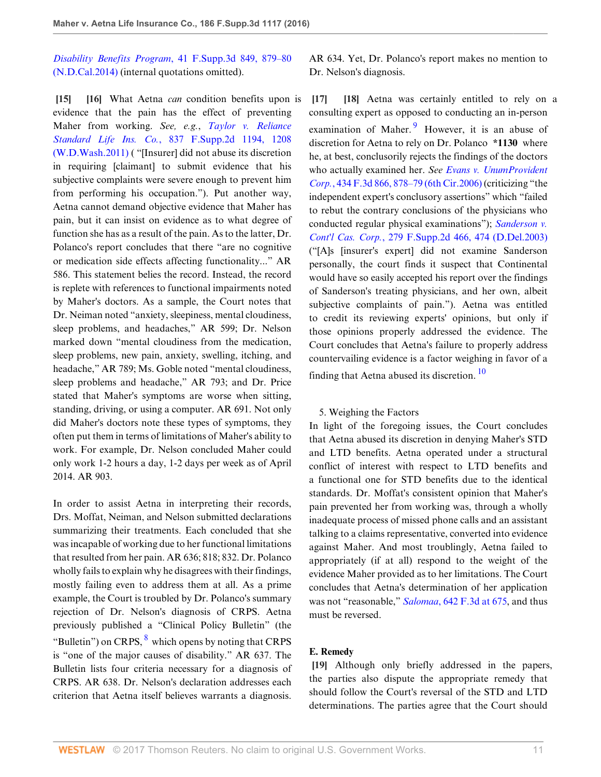*Disability Benefits Program*[, 41 F.Supp.3d 849, 879–80](http://www.westlaw.com/Link/Document/FullText?findType=Y&serNum=2033507635&pubNum=0007903&originatingDoc=I8d04fb601f1f11e6accba36daa2dab8f&refType=RP&fi=co_pp_sp_7903_879&originationContext=document&vr=3.0&rs=cblt1.0&transitionType=DocumentItem&contextData=(sc.UserEnteredCitation)#co_pp_sp_7903_879) [\(N.D.Cal.2014\)](http://www.westlaw.com/Link/Document/FullText?findType=Y&serNum=2033507635&pubNum=0007903&originatingDoc=I8d04fb601f1f11e6accba36daa2dab8f&refType=RP&fi=co_pp_sp_7903_879&originationContext=document&vr=3.0&rs=cblt1.0&transitionType=DocumentItem&contextData=(sc.UserEnteredCitation)#co_pp_sp_7903_879) (internal quotations omitted).

<span id="page-10-1"></span><span id="page-10-0"></span>**[\[15](#page-3-2)] [\[16\]](#page-3-0)** What Aetna *can* condition benefits upon is evidence that the pain has the effect of preventing Maher from working. *See, e.g.*, *[Taylor v. Reliance](http://www.westlaw.com/Link/Document/FullText?findType=Y&serNum=2026076879&pubNum=0004637&originatingDoc=I8d04fb601f1f11e6accba36daa2dab8f&refType=RP&fi=co_pp_sp_4637_1208&originationContext=document&vr=3.0&rs=cblt1.0&transitionType=DocumentItem&contextData=(sc.UserEnteredCitation)#co_pp_sp_4637_1208) Standard Life Ins. Co.*[, 837 F.Supp.2d 1194, 1208](http://www.westlaw.com/Link/Document/FullText?findType=Y&serNum=2026076879&pubNum=0004637&originatingDoc=I8d04fb601f1f11e6accba36daa2dab8f&refType=RP&fi=co_pp_sp_4637_1208&originationContext=document&vr=3.0&rs=cblt1.0&transitionType=DocumentItem&contextData=(sc.UserEnteredCitation)#co_pp_sp_4637_1208) [\(W.D.Wash.2011\)](http://www.westlaw.com/Link/Document/FullText?findType=Y&serNum=2026076879&pubNum=0004637&originatingDoc=I8d04fb601f1f11e6accba36daa2dab8f&refType=RP&fi=co_pp_sp_4637_1208&originationContext=document&vr=3.0&rs=cblt1.0&transitionType=DocumentItem&contextData=(sc.UserEnteredCitation)#co_pp_sp_4637_1208) ( "[Insurer] did not abuse its discretion in requiring [claimant] to submit evidence that his subjective complaints were severe enough to prevent him from performing his occupation."). Put another way, Aetna cannot demand objective evidence that Maher has pain, but it can insist on evidence as to what degree of function she has as a result of the pain. As to the latter, Dr. Polanco's report concludes that there "are no cognitive or medication side effects affecting functionality..." AR 586. This statement belies the record. Instead, the record is replete with references to functional impairments noted by Maher's doctors. As a sample, the Court notes that Dr. Neiman noted "anxiety, sleepiness, mental cloudiness, sleep problems, and headaches," AR 599; Dr. Nelson marked down "mental cloudiness from the medication, sleep problems, new pain, anxiety, swelling, itching, and headache," AR 789; Ms. Goble noted "mental cloudiness, sleep problems and headache," AR 793; and Dr. Price stated that Maher's symptoms are worse when sitting, standing, driving, or using a computer. AR 691. Not only did Maher's doctors note these types of symptoms, they often put them in terms of limitations of Maher's ability to work. For example, Dr. Nelson concluded Maher could only work 1-2 hours a day, 1-2 days per week as of April 2014. AR 903.

<span id="page-10-5"></span>In order to assist Aetna in interpreting their records, Drs. Moffat, Neiman, and Nelson submitted declarations summarizing their treatments. Each concluded that she was incapable of working due to her functional limitations that resulted from her pain. AR 636; 818; 832. Dr. Polanco wholly fails to explain why he disagrees with their findings, mostly failing even to address them at all. As a prime example, the Court is troubled by Dr. Polanco's summary rejection of Dr. Nelson's diagnosis of CRPS. Aetna previously published a "Clinical Policy Bulletin" (the "Bulletin") on CRPS,  $8\overline{ }$  $8\overline{ }$  which opens by noting that CRPS is "one of the major causes of disability." AR 637. The Bulletin lists four criteria necessary for a diagnosis of CRPS. AR 638. Dr. Nelson's declaration addresses each criterion that Aetna itself believes warrants a diagnosis.

AR 634. Yet, Dr. Polanco's report makes no mention to Dr. Nelson's diagnosis.

<span id="page-10-6"></span><span id="page-10-3"></span><span id="page-10-2"></span>**[\[17](#page-3-3)] [\[18](#page-3-4)]** Aetna was certainly entitled to rely on a consulting expert as opposed to conducting an in-person examination of Maher.<sup>[9](#page-11-8)</sup> However, it is an abuse of discretion for Aetna to rely on Dr. Polanco **\*1130** where he, at best, conclusorily rejects the findings of the doctors who actually examined her. *See [Evans v. UnumProvident](http://www.westlaw.com/Link/Document/FullText?findType=Y&serNum=2008230502&pubNum=0000506&originatingDoc=I8d04fb601f1f11e6accba36daa2dab8f&refType=RP&fi=co_pp_sp_506_878&originationContext=document&vr=3.0&rs=cblt1.0&transitionType=DocumentItem&contextData=(sc.UserEnteredCitation)#co_pp_sp_506_878) Corp.*[, 434 F.3d 866, 878–79 \(6th Cir.2006\)](http://www.westlaw.com/Link/Document/FullText?findType=Y&serNum=2008230502&pubNum=0000506&originatingDoc=I8d04fb601f1f11e6accba36daa2dab8f&refType=RP&fi=co_pp_sp_506_878&originationContext=document&vr=3.0&rs=cblt1.0&transitionType=DocumentItem&contextData=(sc.UserEnteredCitation)#co_pp_sp_506_878) (criticizing "the independent expert's conclusory assertions" which "failed to rebut the contrary conclusions of the physicians who conducted regular physical examinations"); *[Sanderson v.](http://www.westlaw.com/Link/Document/FullText?findType=Y&serNum=2003182857&pubNum=0004637&originatingDoc=I8d04fb601f1f11e6accba36daa2dab8f&refType=RP&fi=co_pp_sp_4637_474&originationContext=document&vr=3.0&rs=cblt1.0&transitionType=DocumentItem&contextData=(sc.UserEnteredCitation)#co_pp_sp_4637_474) Cont'l Cas. Corp.*[, 279 F.Supp.2d 466, 474 \(D.Del.2003\)](http://www.westlaw.com/Link/Document/FullText?findType=Y&serNum=2003182857&pubNum=0004637&originatingDoc=I8d04fb601f1f11e6accba36daa2dab8f&refType=RP&fi=co_pp_sp_4637_474&originationContext=document&vr=3.0&rs=cblt1.0&transitionType=DocumentItem&contextData=(sc.UserEnteredCitation)#co_pp_sp_4637_474) ("[A]s [insurer's expert] did not examine Sanderson personally, the court finds it suspect that Continental would have so easily accepted his report over the findings of Sanderson's treating physicians, and her own, albeit subjective complaints of pain."). Aetna was entitled to credit its reviewing experts' opinions, but only if those opinions properly addressed the evidence. The Court concludes that Aetna's failure to properly address countervailing evidence is a factor weighing in favor of a finding that Aetna abused its discretion.  $\frac{10}{2}$  $\frac{10}{2}$  $\frac{10}{2}$ 

#### <span id="page-10-7"></span>5. Weighing the Factors

In light of the foregoing issues, the Court concludes that Aetna abused its discretion in denying Maher's STD and LTD benefits. Aetna operated under a structural conflict of interest with respect to LTD benefits and a functional one for STD benefits due to the identical standards. Dr. Moffat's consistent opinion that Maher's pain prevented her from working was, through a wholly inadequate process of missed phone calls and an assistant talking to a claims representative, converted into evidence against Maher. And most troublingly, Aetna failed to appropriately (if at all) respond to the weight of the evidence Maher provided as to her limitations. The Court concludes that Aetna's determination of her application was not "reasonable," *Salomaa*[, 642 F.3d at 675,](http://www.westlaw.com/Link/Document/FullText?findType=Y&serNum=2025355366&pubNum=0000506&originatingDoc=I8d04fb601f1f11e6accba36daa2dab8f&refType=RP&fi=co_pp_sp_506_675&originationContext=document&vr=3.0&rs=cblt1.0&transitionType=DocumentItem&contextData=(sc.UserEnteredCitation)#co_pp_sp_506_675) and thus must be reversed.

# **E. Remedy**

<span id="page-10-4"></span>**[\[19](#page-3-1)]** Although only briefly addressed in the papers, the parties also dispute the appropriate remedy that should follow the Court's reversal of the STD and LTD determinations. The parties agree that the Court should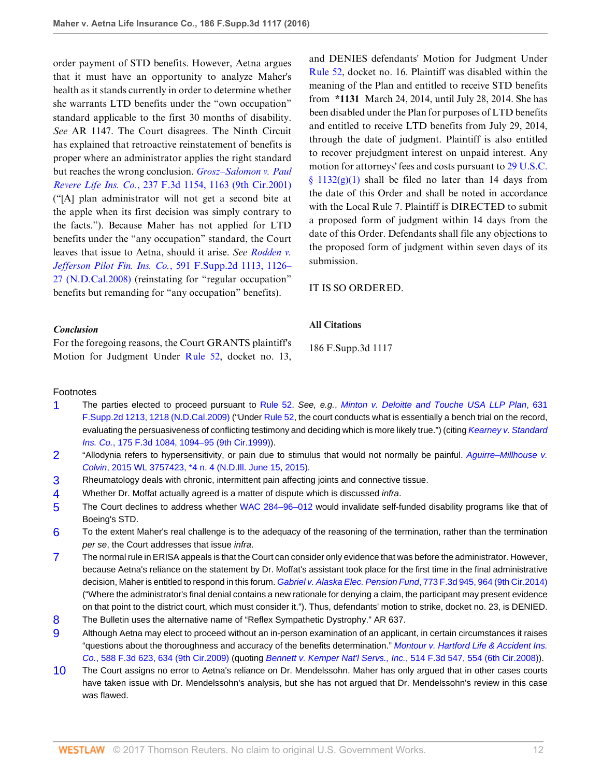order payment of STD benefits. However, Aetna argues that it must have an opportunity to analyze Maher's health as it stands currently in order to determine whether she warrants LTD benefits under the "own occupation" standard applicable to the first 30 months of disability. *See* AR 1147. The Court disagrees. The Ninth Circuit has explained that retroactive reinstatement of benefits is proper where an administrator applies the right standard but reaches the wrong conclusion. *[Grosz–Salomon v. Paul](http://www.westlaw.com/Link/Document/FullText?findType=Y&serNum=2001093471&pubNum=0000506&originatingDoc=I8d04fb601f1f11e6accba36daa2dab8f&refType=RP&fi=co_pp_sp_506_1163&originationContext=document&vr=3.0&rs=cblt1.0&transitionType=DocumentItem&contextData=(sc.UserEnteredCitation)#co_pp_sp_506_1163) Revere Life Ins. Co.*[, 237 F.3d 1154, 1163 \(9th Cir.2001\)](http://www.westlaw.com/Link/Document/FullText?findType=Y&serNum=2001093471&pubNum=0000506&originatingDoc=I8d04fb601f1f11e6accba36daa2dab8f&refType=RP&fi=co_pp_sp_506_1163&originationContext=document&vr=3.0&rs=cblt1.0&transitionType=DocumentItem&contextData=(sc.UserEnteredCitation)#co_pp_sp_506_1163) ("[A] plan administrator will not get a second bite at the apple when its first decision was simply contrary to the facts."). Because Maher has not applied for LTD benefits under the "any occupation" standard, the Court leaves that issue to Aetna, should it arise. *See [Rodden v.](http://www.westlaw.com/Link/Document/FullText?findType=Y&serNum=2017806222&pubNum=0004637&originatingDoc=I8d04fb601f1f11e6accba36daa2dab8f&refType=RP&fi=co_pp_sp_4637_1126&originationContext=document&vr=3.0&rs=cblt1.0&transitionType=DocumentItem&contextData=(sc.UserEnteredCitation)#co_pp_sp_4637_1126) Jefferson Pilot Fin. Ins. Co.*[, 591 F.Supp.2d 1113, 1126–](http://www.westlaw.com/Link/Document/FullText?findType=Y&serNum=2017806222&pubNum=0004637&originatingDoc=I8d04fb601f1f11e6accba36daa2dab8f&refType=RP&fi=co_pp_sp_4637_1126&originationContext=document&vr=3.0&rs=cblt1.0&transitionType=DocumentItem&contextData=(sc.UserEnteredCitation)#co_pp_sp_4637_1126) [27 \(N.D.Cal.2008\)](http://www.westlaw.com/Link/Document/FullText?findType=Y&serNum=2017806222&pubNum=0004637&originatingDoc=I8d04fb601f1f11e6accba36daa2dab8f&refType=RP&fi=co_pp_sp_4637_1126&originationContext=document&vr=3.0&rs=cblt1.0&transitionType=DocumentItem&contextData=(sc.UserEnteredCitation)#co_pp_sp_4637_1126) (reinstating for "regular occupation" benefits but remanding for "any occupation" benefits).

and DENIES defendants' Motion for Judgment Under [Rule 52,](http://www.westlaw.com/Link/Document/FullText?findType=L&pubNum=1000600&cite=USFRCPR52&originatingDoc=I8d04fb601f1f11e6accba36daa2dab8f&refType=LQ&originationContext=document&vr=3.0&rs=cblt1.0&transitionType=DocumentItem&contextData=(sc.UserEnteredCitation)) docket no. 16. Plaintiff was disabled within the meaning of the Plan and entitled to receive STD benefits from **\*1131** March 24, 2014, until July 28, 2014. She has been disabled under the Plan for purposes of LTD benefits and entitled to receive LTD benefits from July 29, 2014, through the date of judgment. Plaintiff is also entitled to recover prejudgment interest on unpaid interest. Any motion for attorneys' fees and costs pursuant to [29 U.S.C.](http://www.westlaw.com/Link/Document/FullText?findType=L&pubNum=1000546&cite=29USCAS1132&originatingDoc=I8d04fb601f1f11e6accba36daa2dab8f&refType=SP&originationContext=document&vr=3.0&rs=cblt1.0&transitionType=DocumentItem&contextData=(sc.UserEnteredCitation)#co_pp_4d690000c9482)  $§$  1132(g)(1) shall be filed no later than 14 days from the date of this Order and shall be noted in accordance with the Local Rule 7. Plaintiff is DIRECTED to submit a proposed form of judgment within 14 days from the date of this Order. Defendants shall file any objections to the proposed form of judgment within seven days of its submission.

# IT IS SO ORDERED.

# *Conclusion*

For the foregoing reasons, the Court GRANTS plaintiff's Motion for Judgment Under [Rule 52](http://www.westlaw.com/Link/Document/FullText?findType=L&pubNum=1000600&cite=USFRCPR52&originatingDoc=I8d04fb601f1f11e6accba36daa2dab8f&refType=LQ&originationContext=document&vr=3.0&rs=cblt1.0&transitionType=DocumentItem&contextData=(sc.UserEnteredCitation)), docket no. 13,

186 F.Supp.3d 1117

**All Citations**

# Footnotes

- <span id="page-11-0"></span>[1](#page-4-0) The parties elected to proceed pursuant to [Rule 52](http://www.westlaw.com/Link/Document/FullText?findType=L&pubNum=1000600&cite=USFRCPR52&originatingDoc=I8d04fb601f1f11e6accba36daa2dab8f&refType=LQ&originationContext=document&vr=3.0&rs=cblt1.0&transitionType=DocumentItem&contextData=(sc.UserEnteredCitation)). See, e.g., [Minton v. Deloitte and Touche USA LLP Plan](http://www.westlaw.com/Link/Document/FullText?findType=Y&serNum=2019091012&pubNum=0004637&originatingDoc=I8d04fb601f1f11e6accba36daa2dab8f&refType=RP&fi=co_pp_sp_4637_1218&originationContext=document&vr=3.0&rs=cblt1.0&transitionType=DocumentItem&contextData=(sc.UserEnteredCitation)#co_pp_sp_4637_1218), 631 [F.Supp.2d 1213, 1218 \(N.D.Cal.2009\)](http://www.westlaw.com/Link/Document/FullText?findType=Y&serNum=2019091012&pubNum=0004637&originatingDoc=I8d04fb601f1f11e6accba36daa2dab8f&refType=RP&fi=co_pp_sp_4637_1218&originationContext=document&vr=3.0&rs=cblt1.0&transitionType=DocumentItem&contextData=(sc.UserEnteredCitation)#co_pp_sp_4637_1218) ("Under [Rule 52,](http://www.westlaw.com/Link/Document/FullText?findType=L&pubNum=1000600&cite=USFRCPR52&originatingDoc=I8d04fb601f1f11e6accba36daa2dab8f&refType=LQ&originationContext=document&vr=3.0&rs=cblt1.0&transitionType=DocumentItem&contextData=(sc.UserEnteredCitation)) the court conducts what is essentially a bench trial on the record, evaluating the persuasiveness of conflicting testimony and deciding which is more likely true.") (citing [Kearney v. Standard](http://www.westlaw.com/Link/Document/FullText?findType=Y&serNum=1999110922&pubNum=0000506&originatingDoc=I8d04fb601f1f11e6accba36daa2dab8f&refType=RP&fi=co_pp_sp_506_1094&originationContext=document&vr=3.0&rs=cblt1.0&transitionType=DocumentItem&contextData=(sc.UserEnteredCitation)#co_pp_sp_506_1094) Ins. Co.[, 175 F.3d 1084, 1094–95 \(9th Cir.1999\)\)](http://www.westlaw.com/Link/Document/FullText?findType=Y&serNum=1999110922&pubNum=0000506&originatingDoc=I8d04fb601f1f11e6accba36daa2dab8f&refType=RP&fi=co_pp_sp_506_1094&originationContext=document&vr=3.0&rs=cblt1.0&transitionType=DocumentItem&contextData=(sc.UserEnteredCitation)#co_pp_sp_506_1094).
- <span id="page-11-1"></span>[2](#page-5-0) "Allodynia refers to hypersensitivity, or pain due to stimulus that would not normally be painful. [Aguirre–Millhouse v.](http://www.westlaw.com/Link/Document/FullText?findType=Y&serNum=2036470999&pubNum=0000999&originatingDoc=I8d04fb601f1f11e6accba36daa2dab8f&refType=RP&originationContext=document&vr=3.0&rs=cblt1.0&transitionType=DocumentItem&contextData=(sc.UserEnteredCitation)) Colvin[, 2015 WL 3757423, \\*4 n. 4 \(N.D.Ill. June 15, 2015\).](http://www.westlaw.com/Link/Document/FullText?findType=Y&serNum=2036470999&pubNum=0000999&originatingDoc=I8d04fb601f1f11e6accba36daa2dab8f&refType=RP&originationContext=document&vr=3.0&rs=cblt1.0&transitionType=DocumentItem&contextData=(sc.UserEnteredCitation))
- <span id="page-11-2"></span>[3](#page-5-1) Rheumatology deals with chronic, intermittent pain affecting joints and connective tissue.
- <span id="page-11-3"></span>[4](#page-5-2) Whether Dr. Moffat actually agreed is a matter of dispute which is discussed infra.
- <span id="page-11-4"></span>[5](#page-7-5) The Court declines to address whether [WAC 284–96–012](http://www.westlaw.com/Link/Document/FullText?findType=L&pubNum=1003807&cite=WAADC284-96-012&originatingDoc=I8d04fb601f1f11e6accba36daa2dab8f&refType=LQ&originationContext=document&vr=3.0&rs=cblt1.0&transitionType=DocumentItem&contextData=(sc.UserEnteredCitation)) would invalidate self-funded disability programs like that of Boeing's STD.
- <span id="page-11-5"></span>[6](#page-9-4) To the extent Maher's real challenge is to the adequacy of the reasoning of the termination, rather than the termination per se, the Court addresses that issue infra.
- <span id="page-11-6"></span>[7](#page-9-5) The normal rule in ERISA appeals is that the Court can consider only evidence that was before the administrator. However, because Aetna's reliance on the statement by Dr. Moffat's assistant took place for the first time in the final administrative decision, Maher is entitled to respond in this forum. [Gabriel v. Alaska Elec. Pension Fund](http://www.westlaw.com/Link/Document/FullText?findType=Y&serNum=2035059553&pubNum=0000506&originatingDoc=I8d04fb601f1f11e6accba36daa2dab8f&refType=RP&fi=co_pp_sp_506_964&originationContext=document&vr=3.0&rs=cblt1.0&transitionType=DocumentItem&contextData=(sc.UserEnteredCitation)#co_pp_sp_506_964), 773 F.3d 945, 964 (9th Cir.2014) ("Where the administrator's final denial contains a new rationale for denying a claim, the participant may present evidence on that point to the district court, which must consider it."). Thus, defendants' motion to strike, docket no. 23, is DENIED.
- <span id="page-11-7"></span>[8](#page-10-5) The Bulletin uses the alternative name of "Reflex Sympathetic Dystrophy." AR 637.
- <span id="page-11-8"></span>[9](#page-10-6) Although Aetna may elect to proceed without an in-person examination of an applicant, in certain circumstances it raises "questions about the thoroughness and accuracy of the benefits determination." [Montour v. Hartford Life & Accident Ins.](http://www.westlaw.com/Link/Document/FullText?findType=Y&serNum=2020444293&pubNum=0000506&originatingDoc=I8d04fb601f1f11e6accba36daa2dab8f&refType=RP&fi=co_pp_sp_506_634&originationContext=document&vr=3.0&rs=cblt1.0&transitionType=DocumentItem&contextData=(sc.UserEnteredCitation)#co_pp_sp_506_634) Co.[, 588 F.3d 623, 634 \(9th Cir.2009\)](http://www.westlaw.com/Link/Document/FullText?findType=Y&serNum=2020444293&pubNum=0000506&originatingDoc=I8d04fb601f1f11e6accba36daa2dab8f&refType=RP&fi=co_pp_sp_506_634&originationContext=document&vr=3.0&rs=cblt1.0&transitionType=DocumentItem&contextData=(sc.UserEnteredCitation)#co_pp_sp_506_634) (quoting [Bennett v. Kemper Nat'l Servs., Inc.](http://www.westlaw.com/Link/Document/FullText?findType=Y&serNum=2014822582&pubNum=0000506&originatingDoc=I8d04fb601f1f11e6accba36daa2dab8f&refType=RP&fi=co_pp_sp_506_554&originationContext=document&vr=3.0&rs=cblt1.0&transitionType=DocumentItem&contextData=(sc.UserEnteredCitation)#co_pp_sp_506_554), 514 F.3d 547, 554 (6th Cir.2008)).
- <span id="page-11-9"></span>[10](#page-10-7) The Court assigns no error to Aetna's reliance on Dr. Mendelssohn. Maher has only argued that in other cases courts have taken issue with Dr. Mendelssohn's analysis, but she has not argued that Dr. Mendelssohn's review in this case was flawed.